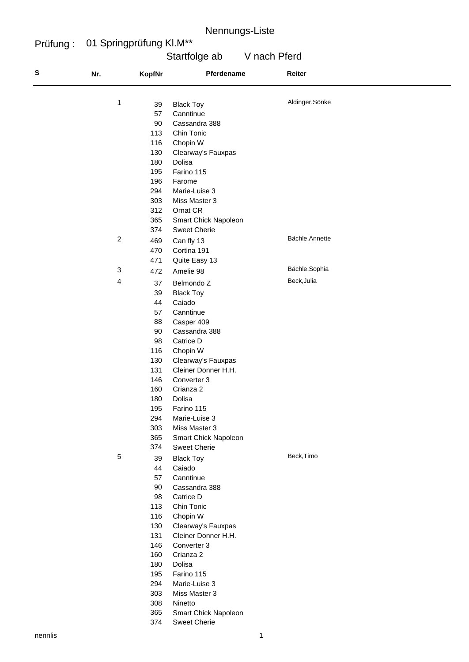#### Prüfung : 01 Springprüfung Kl.M\*\*

# Startfolge ab V nach Pferd

| olge ab | V nach Pferd |  |
|---------|--------------|--|
|         |              |  |

| ${\bf s}$ | Nr.              | <b>KopfNr</b>   | Pferdename           | Reiter          |
|-----------|------------------|-----------------|----------------------|-----------------|
|           | 1                | 39              | <b>Black Toy</b>     | Aldinger, Sönke |
|           |                  | 57              | Canntinue            |                 |
|           |                  | 90              | Cassandra 388        |                 |
|           |                  | 113             | Chin Tonic           |                 |
|           |                  | 116             | Chopin W             |                 |
|           |                  | 130             | Clearway's Fauxpas   |                 |
|           |                  | 180             | Dolisa               |                 |
|           |                  | 195             | Farino 115           |                 |
|           |                  | 196             | Farome               |                 |
|           |                  | 294             | Marie-Luise 3        |                 |
|           |                  | 303             | Miss Master 3        |                 |
|           |                  | 312             | Ornat CR             |                 |
|           |                  | 365             | Smart Chick Napoleon |                 |
|           |                  | 374             | <b>Sweet Cherie</b>  |                 |
|           | $\boldsymbol{2}$ | 469             | Can fly 13           | Bächle, Annette |
|           |                  | 470             | Cortina 191          |                 |
|           |                  | 471             | Quite Easy 13        |                 |
|           | 3                | 472             | Amelie 98            | Bächle, Sophia  |
|           | 4                | 37              | Belmondo Z           | Beck, Julia     |
|           |                  | 39              | <b>Black Toy</b>     |                 |
|           |                  | 44              | Caiado               |                 |
|           |                  | 57              | Canntinue            |                 |
|           |                  | 88              | Casper 409           |                 |
|           |                  | 90              | Cassandra 388        |                 |
|           |                  | 98              | Catrice D            |                 |
|           |                  | 116             | Chopin W             |                 |
|           |                  | 130             | Clearway's Fauxpas   |                 |
|           |                  | 131             | Cleiner Donner H.H.  |                 |
|           |                  | 146             | Converter 3          |                 |
|           |                  | 160             | Crianza 2            |                 |
|           |                  | 180             | Dolisa               |                 |
|           |                  | 195             | Farino 115           |                 |
|           |                  | 294             | Marie-Luise 3        |                 |
|           |                  | 303             | Miss Master 3        |                 |
|           |                  | 365             | Smart Chick Napoleon |                 |
|           |                  | 374             | <b>Sweet Cherie</b>  |                 |
|           | $\,$ 5 $\,$      | 39              | <b>Black Toy</b>     | Beck, Timo      |
|           |                  | 44              | Caiado               |                 |
|           |                  | 57              | Canntinue            |                 |
|           |                  | 90              | Cassandra 388        |                 |
|           |                  | 98              | Catrice D            |                 |
|           |                  | 113             | Chin Tonic           |                 |
|           |                  | 116             | Chopin W             |                 |
|           |                  | 130             | Clearway's Fauxpas   |                 |
|           |                  | 131             | Cleiner Donner H.H.  |                 |
|           |                  | 146             | Converter 3          |                 |
|           |                  | 160             | Crianza 2            |                 |
|           |                  | 180             | Dolisa               |                 |
|           |                  | 195             | Farino 115           |                 |
|           |                  | 294             | Marie-Luise 3        |                 |
|           |                  | 303             | Miss Master 3        |                 |
|           |                  | 308<br>$\sim$ r | Ninetto              |                 |

- Smart Chick Napoleon
- Sweet Cherie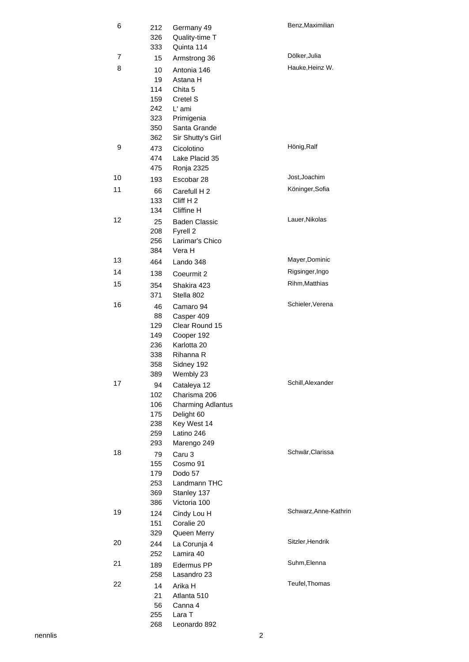| 6  | 212<br>326<br>333                                  | Germany 49<br>Quality-time T<br>Quinta 114                                                                        | Benz, Maximilian      |
|----|----------------------------------------------------|-------------------------------------------------------------------------------------------------------------------|-----------------------|
| 7  | 15                                                 | Armstrong 36                                                                                                      | Dölker, Julia         |
| 8  | 10<br>19<br>114<br>159<br>242                      | Antonia 146<br>Astana H<br>Chita 5<br>Cretel S<br>L' ami                                                          | Hauke, Heinz W.       |
|    | 323<br>350<br>362                                  | Primigenia<br>Santa Grande<br>Sir Shutty's Girl                                                                   |                       |
| 9  | 473<br>474<br>475                                  | Cicolotino<br>Lake Placid 35<br>Ronja 2325                                                                        | Hönig, Ralf           |
| 10 | 193                                                | Escobar 28                                                                                                        | Jost, Joachim         |
| 11 | 66<br>133<br>134                                   | Carefull H 2<br>Cliff H2<br>Cliffine H                                                                            | Köninger, Sofia       |
| 12 | 25<br>208<br>256<br>384                            | <b>Baden Classic</b><br>Fyrell 2<br>Larimar's Chico<br>Vera H                                                     | Lauer, Nikolas        |
| 13 | 464                                                | Lando 348                                                                                                         | Mayer, Dominic        |
| 14 | 138                                                | Coeurmit 2                                                                                                        | Rigsinger, Ingo       |
| 15 | 354<br>371                                         | Shakira 423<br>Stella 802                                                                                         | Rihm, Matthias        |
| 16 | 46<br>88<br>129<br>149<br>236<br>338<br>358<br>389 | Camaro 94<br>Casper 409<br>Clear Round 15<br>Cooper 192<br>Karlotta 20<br>Rihanna R<br>Sidney 192<br>Wembly 23    | Schieler, Verena      |
| 17 | 94<br>102<br>106<br>175<br>238<br>259<br>293       | Cataleya 12<br>Charisma 206<br><b>Charming Adlantus</b><br>Delight 60<br>Key West 14<br>Latino 246<br>Marengo 249 | Schill, Alexander     |
| 18 | 79<br>155<br>179<br>253<br>369<br>386              | Caru 3<br>Cosmo 91<br>Dodo 57<br>Landmann THC<br>Stanley 137<br>Victoria 100                                      | Schwär, Clarissa      |
| 19 | 124<br>151<br>329                                  | Cindy Lou H<br>Coralie 20<br>Queen Merry                                                                          | Schwarz, Anne-Kathrin |
| 20 | 244<br>252                                         | La Corunja 4<br>Lamira 40                                                                                         | Sitzler, Hendrik      |
| 21 | 189<br>258                                         | Edermus PP<br>Lasandro 23                                                                                         | Suhm, Elenna          |
| 22 | 14<br>21<br>56<br>255<br>268                       | Arika H<br>Atlanta 510<br>Canna 4<br>Lara T<br>Leonardo 892                                                       | Teufel, Thomas        |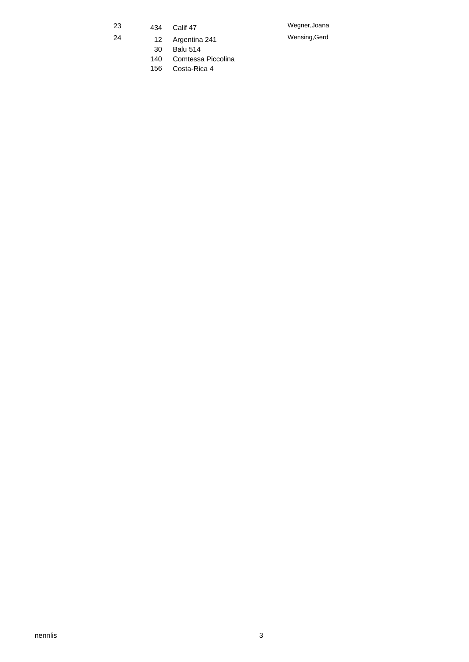- 23 434 Calif 47 Wegner, Joana
	-
- 24 12 Argentina 241 Wensing,Gerd
	-

30 Balu 514

- 140 Comtessa Piccolina
- 156 Costa-Rica 4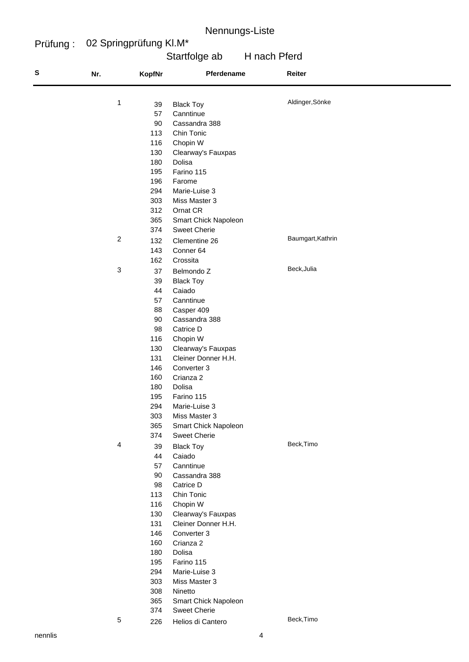#### Prüfung : 02 Springprüfung Kl.M\*

| Startfolge ab | H nach Pferd |
|---------------|--------------|
|               |              |

| ${\sf s}$ | Nr.                     | <b>KopfNr</b> | Pferdename                            | Reiter            |
|-----------|-------------------------|---------------|---------------------------------------|-------------------|
|           |                         |               |                                       | Aldinger, Sönke   |
|           | 1                       | 39            | <b>Black Toy</b>                      |                   |
|           |                         | 57            | Canntinue                             |                   |
|           |                         | 90            | Cassandra 388                         |                   |
|           |                         | 113           | Chin Tonic                            |                   |
|           |                         | 116<br>130    | Chopin W                              |                   |
|           |                         | 180           | Clearway's Fauxpas<br>Dolisa          |                   |
|           |                         | 195           | Farino 115                            |                   |
|           |                         | 196           | Farome                                |                   |
|           |                         | 294           | Marie-Luise 3                         |                   |
|           |                         | 303           | Miss Master 3                         |                   |
|           |                         | 312           | Ornat CR                              |                   |
|           |                         | 365           | Smart Chick Napoleon                  |                   |
|           |                         | 374           | <b>Sweet Cherie</b>                   |                   |
|           | $\overline{\mathbf{c}}$ | 132           | Clementine 26                         | Baumgart, Kathrin |
|           |                         | 143           | Conner 64                             |                   |
|           |                         | 162           | Crossita                              |                   |
|           | 3                       | 37            | Belmondo Z                            | Beck, Julia       |
|           |                         | 39            | <b>Black Toy</b>                      |                   |
|           |                         | 44            | Caiado                                |                   |
|           |                         | 57            | Canntinue                             |                   |
|           |                         | 88            | Casper 409                            |                   |
|           |                         | 90            | Cassandra 388                         |                   |
|           |                         | 98            | Catrice D                             |                   |
|           |                         | 116           | Chopin W                              |                   |
|           |                         | 130           | Clearway's Fauxpas                    |                   |
|           |                         | 131           | Cleiner Donner H.H.                   |                   |
|           |                         | 146           | Converter 3                           |                   |
|           |                         | 160           | Crianza 2                             |                   |
|           |                         | 180           | Dolisa                                |                   |
|           |                         | 195           | Farino 115                            |                   |
|           |                         | 294<br>303    | Marie-Luise 3                         |                   |
|           |                         | 365           | Miss Master 3<br>Smart Chick Napoleon |                   |
|           |                         | 374           | <b>Sweet Cherie</b>                   |                   |
|           | 4                       |               |                                       | Beck, Timo        |
|           |                         | 39<br>44      | <b>Black Toy</b><br>Caiado            |                   |
|           |                         | 57            | Canntinue                             |                   |
|           |                         | 90            | Cassandra 388                         |                   |
|           |                         | 98            | Catrice D                             |                   |
|           |                         | 113           | Chin Tonic                            |                   |
|           |                         | 116           | Chopin W                              |                   |
|           |                         | 130           | Clearway's Fauxpas                    |                   |
|           |                         | 131           | Cleiner Donner H.H.                   |                   |
|           |                         | 146           | Converter 3                           |                   |
|           |                         | 160           | Crianza 2                             |                   |
|           |                         | 180           | Dolisa                                |                   |
|           |                         | 195           | Farino 115                            |                   |
|           |                         | 294           | Marie-Luise 3                         |                   |
|           |                         | 303           | Miss Master 3                         |                   |
|           |                         | 308           | Ninetto                               |                   |
|           |                         | 365           | Smart Chick Napoleon                  |                   |
|           |                         | 374           | <b>Sweet Cherie</b>                   |                   |
|           | 5                       | 226           | Helios di Cantero                     | Beck, Timo        |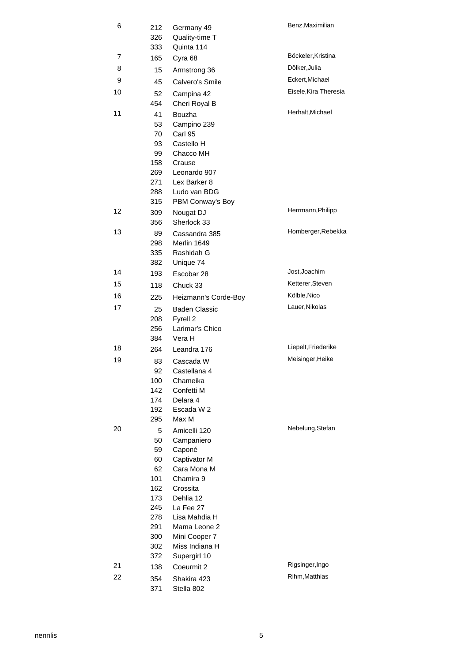| 6        | 212<br>326<br>333 | Germany 49<br>Quality-time T<br>Quinta 114 | Benz, Maximilian      |
|----------|-------------------|--------------------------------------------|-----------------------|
| 7        | 165               | Cyra 68                                    | Böckeler, Kristina    |
| 8        | 15                | Armstrong 36                               | Dölker, Julia         |
| 9        | 45                | Calvero's Smile                            | Eckert, Michael       |
| 10       | 52                | Campina 42                                 | Eisele, Kira Theresia |
|          | 454               | Cheri Royal B                              |                       |
| 11       | 41                | Bouzha                                     | Herhalt, Michael      |
|          | 53                | Campino 239                                |                       |
|          | 70                | Carl 95                                    |                       |
|          | 93                | Castello H                                 |                       |
|          | 99                | Chacco MH                                  |                       |
|          | 158<br>269        | Crause<br>Leonardo 907                     |                       |
|          | 271               | Lex Barker 8                               |                       |
|          | 288               | Ludo van BDG                               |                       |
|          | 315               | PBM Conway's Boy                           |                       |
| 12       | 309               | Nougat DJ                                  | Herrmann, Philipp     |
|          | 356               | Sherlock 33                                |                       |
| 13       | 89                | Cassandra 385                              | Homberger, Rebekka    |
|          | 298               | Merlin 1649                                |                       |
|          | 335               | Rashidah G                                 |                       |
| 14       | 382               | Unique 74<br>Escobar 28                    | Jost, Joachim         |
| 15       | 193               |                                            | Ketterer, Steven      |
| 16       | 118               | Chuck 33                                   | Kölble, Nico          |
| 17       | 225               | Heizmann's Corde-Boy                       | Lauer, Nikolas        |
|          | 25<br>208         | <b>Baden Classic</b><br>Fyrell 2           |                       |
|          | 256               | Larimar's Chico                            |                       |
|          | 384               | Vera H                                     |                       |
| 18       | 264               | Leandra 176                                | Liepelt, Friederike   |
| 19       | 83                | Cascada W                                  | Meisinger, Heike      |
|          | 92                | Castellana 4                               |                       |
|          | 100               | Chameika                                   |                       |
|          | 142               | Confetti M                                 |                       |
|          | 174<br>192        | Delara 4<br>Escada W 2                     |                       |
|          | 295               | Max M                                      |                       |
| 20       | 5                 | Amicelli 120                               | Nebelung, Stefan      |
|          | 50                | Campaniero                                 |                       |
|          | 59                | Caponé                                     |                       |
|          | 60                | Captivator M                               |                       |
|          | 62                | Cara Mona M                                |                       |
|          | 101               | Chamira 9                                  |                       |
|          | 162<br>173        | Crossita<br>Dehlia 12                      |                       |
|          | 245               | La Fee 27                                  |                       |
|          | 278               | Lisa Mahdia H                              |                       |
|          | 291               | Mama Leone 2                               |                       |
|          | 300               | Mini Cooper 7                              |                       |
|          | 302               | Miss Indiana H                             |                       |
|          | 372               | Supergirl 10                               | Rigsinger, Ingo       |
| 21<br>22 | 138               | Coeurmit 2                                 | Rihm, Matthias        |
|          | 354<br>371        | Shakira 423<br>Stella 802                  |                       |
|          |                   |                                            |                       |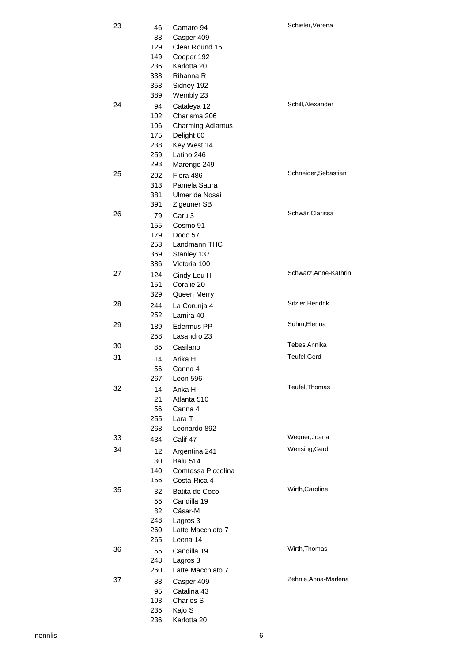| 23 | 46   | Camaro 94                | Schieler, Verena      |
|----|------|--------------------------|-----------------------|
|    | 88   | Casper 409               |                       |
|    | 129  | Clear Round 15           |                       |
|    | 149  | Cooper 192               |                       |
|    | 236  | Karlotta 20              |                       |
|    | 338  | Rihanna R                |                       |
|    | 358  | Sidney 192               |                       |
|    | 389  | Wembly 23                |                       |
| 24 | 94   | Cataleya 12              | Schill, Alexander     |
|    | 102  | Charisma 206             |                       |
|    | 106  | <b>Charming Adlantus</b> |                       |
|    | 175  | Delight 60               |                       |
|    | 238  | Key West 14              |                       |
|    | 259  | Latino 246               |                       |
|    | 293  | Marengo 249              |                       |
| 25 | 202  | Flora 486                | Schneider, Sebastian  |
|    | 313  | Pamela Saura             |                       |
|    | 381  | Ulmer de Nosai           |                       |
|    | 391  | Zigeuner SB              |                       |
| 26 | 79   | Caru 3                   | Schwär, Clarissa      |
|    | 155  | Cosmo 91                 |                       |
|    | 179  | Dodo 57                  |                       |
|    | 253  | Landmann THC             |                       |
|    | 369  | Stanley 137              |                       |
|    | 386  | Victoria 100             |                       |
| 27 | 124  | Cindy Lou H              | Schwarz, Anne-Kathrin |
|    | 151  | Coralie 20               |                       |
|    | 329  | Queen Merry              |                       |
| 28 | 244  | La Corunja 4             | Sitzler, Hendrik      |
|    | 252  | Lamira 40                |                       |
| 29 | 189  | Edermus PP               | Suhm, Elenna          |
|    | 258  | Lasandro 23              |                       |
| 30 | 85   | Casilano                 | Tebes, Annika         |
| 31 | 14   | Arika H                  | Teufel, Gerd          |
|    | 56   | Canna 4                  |                       |
|    | 267  | Leon 596                 |                       |
| 32 | 14   | Arika H                  | Teufel, Thomas        |
|    | 21 - | Atlanta 510              |                       |
|    | 56 - | Canna 4                  |                       |
|    | 255  | Lara T                   |                       |
|    | 268  | Leonardo 892             |                       |
| 33 | 434  | Calif 47                 | Wegner, Joana         |
| 34 | 12   | Argentina 241            | Wensing, Gerd         |
|    | 30   | <b>Balu 514</b>          |                       |
|    | 140  | Comtessa Piccolina       |                       |
|    | 156  | Costa-Rica 4             |                       |
| 35 | 32   | Batita de Coco           | Wirth, Caroline       |
|    | 55   | Candilla 19              |                       |
|    | 82   | Cäsar-M                  |                       |
|    | 248  | Lagros 3                 |                       |
|    | 260  | Latte Macchiato 7        |                       |
|    | 265  | Leena 14                 |                       |
| 36 | 55   | Candilla 19              | Wirth, Thomas         |
|    | 248  | Lagros 3                 |                       |
|    | 260  | Latte Macchiato 7        |                       |
| 37 | 88   | Casper 409               | Zehnle, Anna-Marlena  |
|    | 95   | Catalina 43              |                       |
|    | 103  | Charles S                |                       |
|    | 235  | Kajo S                   |                       |
|    | 236  | Karlotta 20              |                       |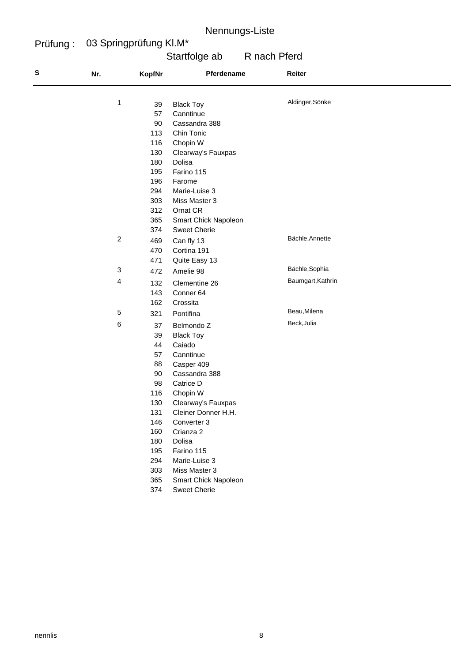#### Prüfung : 03 Springprüfung Kl.M\*

# Startfolge ab R nach Pferd

| S | Nr.              | KopfNr | Pferdename           | Reiter            |
|---|------------------|--------|----------------------|-------------------|
|   | 1                | 39     | <b>Black Toy</b>     | Aldinger, Sönke   |
|   |                  | 57     | Canntinue            |                   |
|   |                  | 90     | Cassandra 388        |                   |
|   |                  | 113    | Chin Tonic           |                   |
|   |                  | 116    | Chopin W             |                   |
|   |                  | 130    | Clearway's Fauxpas   |                   |
|   |                  | 180    | Dolisa               |                   |
|   |                  | 195    | Farino 115           |                   |
|   |                  | 196    | Farome               |                   |
|   |                  | 294    | Marie-Luise 3        |                   |
|   |                  | 303    | Miss Master 3        |                   |
|   |                  | 312    | Ornat CR             |                   |
|   |                  | 365    | Smart Chick Napoleon |                   |
|   |                  | 374    | <b>Sweet Cherie</b>  |                   |
|   | $\boldsymbol{2}$ | 469    | Can fly 13           | Bächle, Annette   |
|   |                  | 470    | Cortina 191          |                   |
|   |                  | 471    | Quite Easy 13        |                   |
|   | 3                | 472    | Amelie 98            | Bächle, Sophia    |
|   | 4                | 132    | Clementine 26        | Baumgart, Kathrin |
|   |                  | 143    | Conner 64            |                   |
|   |                  | 162    | Crossita             |                   |
|   | 5                | 321    | Pontifina            | Beau, Milena      |
|   | 6                | 37     | Belmondo Z           | Beck, Julia       |
|   |                  | 39     | <b>Black Toy</b>     |                   |
|   |                  | 44     | Caiado               |                   |
|   |                  | 57     | Canntinue            |                   |
|   |                  | 88     | Casper 409           |                   |
|   |                  | 90     | Cassandra 388        |                   |
|   |                  | 98     | Catrice D            |                   |
|   |                  | 116    | Chopin W             |                   |
|   |                  | 130    | Clearway's Fauxpas   |                   |
|   |                  | 131    | Cleiner Donner H.H.  |                   |
|   |                  | 146    | Converter 3          |                   |
|   |                  | 160    | Crianza 2            |                   |
|   |                  | 180    | Dolisa               |                   |
|   |                  | 195    | Farino 115           |                   |
|   |                  | 294    | Marie-Luise 3        |                   |
|   |                  | 303    | Miss Master 3        |                   |
|   |                  | 365    | Smart Chick Napoleon |                   |
|   |                  | 374    | <b>Sweet Cherie</b>  |                   |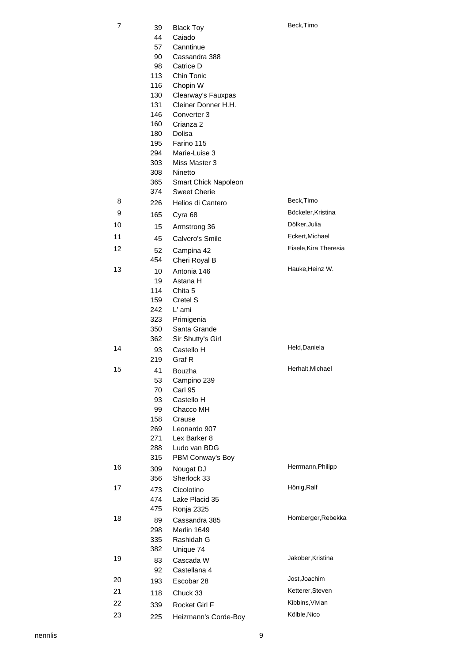| 7  | 39  | <b>Black Toy</b>     | Beck, Timo            |
|----|-----|----------------------|-----------------------|
|    | 44  | Caiado               |                       |
|    | 57  | Canntinue            |                       |
|    | 90  | Cassandra 388        |                       |
|    | 98  | Catrice D            |                       |
|    | 113 | Chin Tonic           |                       |
|    | 116 | Chopin W             |                       |
|    | 130 | Clearway's Fauxpas   |                       |
|    | 131 | Cleiner Donner H.H.  |                       |
|    | 146 | Converter 3          |                       |
|    | 160 | Crianza 2            |                       |
|    | 180 | <b>Dolisa</b>        |                       |
|    | 195 | Farino 115           |                       |
|    | 294 | Marie-Luise 3        |                       |
|    | 303 | Miss Master 3        |                       |
|    | 308 | Ninetto              |                       |
|    | 365 | Smart Chick Napoleon |                       |
|    | 374 | <b>Sweet Cherie</b>  |                       |
| 8  | 226 | Helios di Cantero    | Beck, Timo            |
| 9  | 165 | Cyra 68              | Böckeler, Kristina    |
| 10 | 15  | Armstrong 36         | Dölker, Julia         |
| 11 | 45  | Calvero's Smile      | Eckert, Michael       |
| 12 | 52  | Campina 42           | Eisele, Kira Theresia |
|    | 454 | Cheri Royal B        |                       |
| 13 | 10  | Antonia 146          | Hauke, Heinz W.       |
|    | 19  | Astana H             |                       |
|    | 114 | Chita 5              |                       |
|    | 159 | Cretel S             |                       |
|    | 242 | L' ami               |                       |
|    | 323 | Primigenia           |                       |
|    | 350 | Santa Grande         |                       |
|    | 362 | Sir Shutty's Girl    |                       |
| 14 | 93  | Castello H           | Held, Daniela         |
|    | 219 | Graf <sub>R</sub>    |                       |
| 15 | 41  | Bouzha               | Herhalt, Michael      |
|    | 53  | Campino 239          |                       |
|    | 70  | Carl 95              |                       |
|    | 93  | Castello H           |                       |
|    | 99  | Chacco MH            |                       |
|    | 158 | Crause               |                       |
|    | 269 | Leonardo 907         |                       |
|    | 271 | Lex Barker 8         |                       |
|    | 288 | Ludo van BDG         |                       |
|    | 315 | PBM Conway's Boy     |                       |
| 16 | 309 | Nougat DJ            | Herrmann, Philipp     |
|    | 356 | Sherlock 33          |                       |
| 17 | 473 | Cicolotino           | Hönig, Ralf           |
|    | 474 | Lake Placid 35       |                       |
|    | 475 | Ronja 2325           |                       |
| 18 | 89  | Cassandra 385        | Homberger, Rebekka    |
|    | 298 | Merlin 1649          |                       |
|    | 335 | Rashidah G           |                       |
|    | 382 | Unique 74            |                       |
| 19 | 83  | Cascada W            | Jakober, Kristina     |
|    | 92  | Castellana 4         |                       |
| 20 | 193 | Escobar 28           | Jost, Joachim         |
| 21 | 118 | Chuck 33             | Ketterer, Steven      |
| 22 | 339 | Rocket Girl F        | Kibbins, Vivian       |
| 23 | 225 | Heizmann's Corde-Boy | Kölble, Nico          |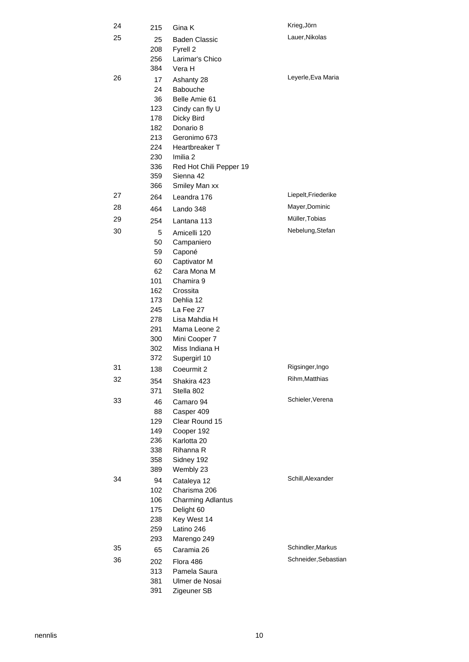| 24 | 215        | Gina K                                 | Krieg, Jörn          |
|----|------------|----------------------------------------|----------------------|
| 25 | 25         | <b>Baden Classic</b>                   | Lauer, Nikolas       |
|    | 208        | Fyrell 2                               |                      |
|    | 256        | Larimar's Chico                        |                      |
|    | 384        | Vera H                                 |                      |
| 26 | 17         | Ashanty 28                             | Leyerle, Eva Maria   |
|    | 24         | <b>Babouche</b>                        |                      |
|    | 36         | Belle Amie 61                          |                      |
|    | 123        | Cindy can fly U                        |                      |
|    | 178        | Dicky Bird                             |                      |
|    | 182        | Donario 8                              |                      |
|    | 213        | Geronimo 673                           |                      |
|    | 224        | Heartbreaker T                         |                      |
|    | 230        | Imilia 2                               |                      |
|    | 336        | Red Hot Chili Pepper 19                |                      |
|    | 359        | Sienna 42                              |                      |
|    | 366        | Smiley Man xx                          |                      |
| 27 | 264        | Leandra 176                            | Liepelt, Friederike  |
| 28 | 464        | Lando 348                              | Mayer, Dominic       |
| 29 | 254        | Lantana 113                            | Müller, Tobias       |
| 30 | 5          | Amicelli 120                           | Nebelung, Stefan     |
|    | 50         | Campaniero                             |                      |
|    | 59         | Caponé                                 |                      |
|    | 60         | Captivator M<br>Cara Mona M            |                      |
|    | 62<br>101  | Chamira 9                              |                      |
|    | 162        | Crossita                               |                      |
|    | 173        | Dehlia 12                              |                      |
|    | 245        | La Fee 27                              |                      |
|    | 278        | Lisa Mahdia H                          |                      |
|    | 291        | Mama Leone 2                           |                      |
|    | 300        | Mini Cooper 7                          |                      |
|    | 302        | Miss Indiana H                         |                      |
|    | 372        | Supergirl 10                           |                      |
| 31 | 138        | Coeurmit 2                             | Rigsinger, Ingo      |
| 32 | 354        | Shakira 423                            | Rihm, Matthias       |
|    | 371        | Stella 802                             |                      |
| 33 | 46         | Camaro 94                              | Schieler, Verena     |
|    | 88         | Casper 409                             |                      |
|    | 129        | Clear Round 15                         |                      |
|    | 149        | Cooper 192                             |                      |
|    | 236        | Karlotta 20                            |                      |
|    | 338        | Rihanna R                              |                      |
|    | 358        | Sidney 192                             |                      |
| 34 | 389        | Wembly 23                              | Schill, Alexander    |
|    | 94         | Cataleya 12<br>Charisma 206            |                      |
|    | 102        |                                        |                      |
|    | 106<br>175 | <b>Charming Adlantus</b><br>Delight 60 |                      |
|    | 238        | Key West 14                            |                      |
|    | 259        | Latino 246                             |                      |
|    | 293        | Marengo 249                            |                      |
| 35 | 65         | Caramia 26                             | Schindler, Markus    |
| 36 | 202        | Flora 486                              | Schneider, Sebastian |
|    | 313        | Pamela Saura                           |                      |
|    | 381        | Ulmer de Nosai                         |                      |
|    | 391        | Zigeuner SB                            |                      |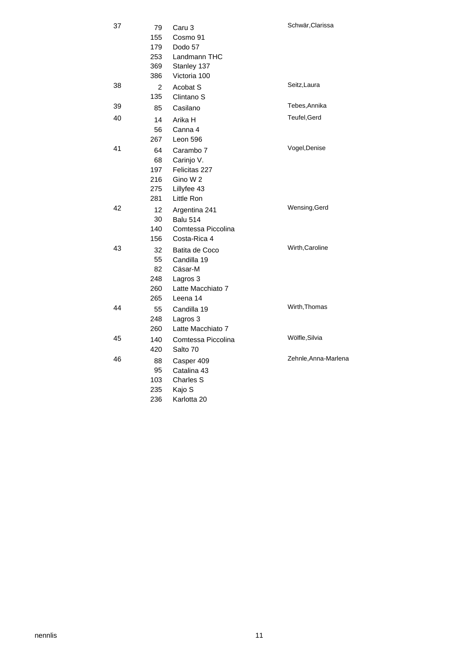| 37 | 79             | Caru 3                | Schwär, Clarissa     |
|----|----------------|-----------------------|----------------------|
|    | 155            | Cosmo 91              |                      |
|    | 179            | Dodo 57               |                      |
|    | 253            | Landmann THC          |                      |
|    | 369            | Stanley 137           |                      |
|    | 386            | Victoria 100          |                      |
| 38 | $\overline{2}$ | Acobat S              | Seitz, Laura         |
|    | 135            | Clintano <sub>S</sub> |                      |
| 39 | 85             | Casilano              | Tebes, Annika        |
| 40 | 14             | Arika H               | Teufel, Gerd         |
|    | 56             | Canna 4               |                      |
|    | 267            | Leon 596              |                      |
| 41 | 64             | Carambo 7             | Vogel, Denise        |
|    | 68             | Carinjo V.            |                      |
|    | 197            | Felicitas 227         |                      |
|    | 216            | Gino W 2              |                      |
|    | 275            | Lillyfee 43           |                      |
|    | 281            | Little Ron            |                      |
| 42 | 12             | Argentina 241         | Wensing, Gerd        |
|    | 30             | <b>Balu 514</b>       |                      |
|    | 140            | Comtessa Piccolina    |                      |
|    | 156            | Costa-Rica 4          |                      |
| 43 | 32             | Batita de Coco        | Wirth, Caroline      |
|    | 55             | Candilla 19           |                      |
|    | 82             | Cäsar-M               |                      |
|    | 248            | Lagros 3              |                      |
|    | 260            | Latte Macchiato 7     |                      |
|    | 265            | Leena 14              |                      |
| 44 | 55             | Candilla 19           | Wirth, Thomas        |
|    | 248            | Lagros 3              |                      |
|    | 260            | Latte Macchiato 7     |                      |
| 45 | 140            | Comtessa Piccolina    | Wölfle, Silvia       |
|    | 420            | Salto 70              |                      |
| 46 | 88             | Casper 409            | Zehnle, Anna-Marlena |
|    | 95             | Catalina 43           |                      |
|    | 103            | <b>Charles S</b>      |                      |
|    | 235            | Kajo S                |                      |
|    | 236            | Karlotta 20           |                      |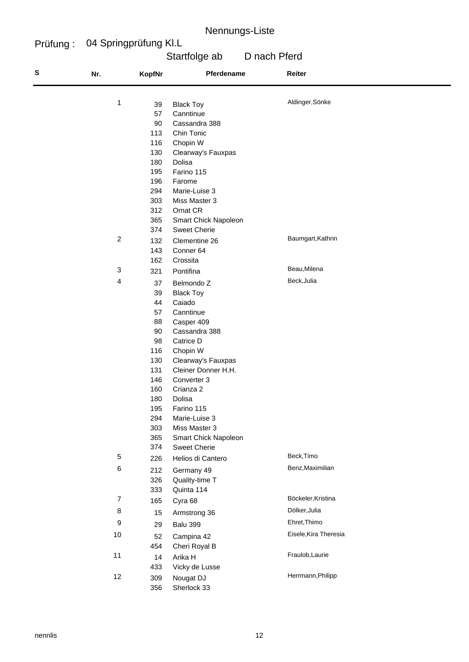#### Prüfung : 04 Springprüfung Kl.L

# Startfolge ab D nach Pferd

| S | Nr.            | <b>KopfNr</b> | Pferdename                                | Reiter                |  |
|---|----------------|---------------|-------------------------------------------|-----------------------|--|
|   | 1              |               |                                           | Aldinger, Sönke       |  |
|   |                | 39<br>57      | <b>Black Toy</b><br>Canntinue             |                       |  |
|   |                | 90            | Cassandra 388                             |                       |  |
|   |                | 113           | Chin Tonic                                |                       |  |
|   |                | 116           | Chopin W                                  |                       |  |
|   |                | 130           | Clearway's Fauxpas                        |                       |  |
|   |                | 180           | Dolisa                                    |                       |  |
|   |                | 195           | Farino 115                                |                       |  |
|   |                | 196           | Farome                                    |                       |  |
|   |                | 294           | Marie-Luise 3                             |                       |  |
|   |                | 303           | Miss Master 3                             |                       |  |
|   |                | 312           | Ornat CR                                  |                       |  |
|   |                | 365           | Smart Chick Napoleon                      |                       |  |
|   |                | 374           | <b>Sweet Cherie</b>                       |                       |  |
|   | $\overline{c}$ | 132           | Clementine 26                             | Baumgart, Kathrin     |  |
|   |                | 143           | Conner 64                                 |                       |  |
|   |                | 162           | Crossita                                  |                       |  |
|   | 3              | 321           | Pontifina                                 | Beau, Milena          |  |
|   | 4              | 37            | Belmondo Z                                | Beck, Julia           |  |
|   |                | 39            | <b>Black Toy</b>                          |                       |  |
|   |                | 44            | Caiado                                    |                       |  |
|   |                | 57            | Canntinue                                 |                       |  |
|   |                | 88            | Casper 409                                |                       |  |
|   |                | 90            | Cassandra 388                             |                       |  |
|   |                | 98            | Catrice D                                 |                       |  |
|   |                | 116           | Chopin W                                  |                       |  |
|   |                | 130<br>131    | Clearway's Fauxpas<br>Cleiner Donner H.H. |                       |  |
|   |                | 146           | Converter 3                               |                       |  |
|   |                | 160           | Crianza 2                                 |                       |  |
|   |                | 180           | Dolisa                                    |                       |  |
|   |                | 195           | Farino 115                                |                       |  |
|   |                | 294           | Marie-Luise 3                             |                       |  |
|   |                | 303           | Miss Master 3                             |                       |  |
|   |                | 365           | Smart Chick Napoleon                      |                       |  |
|   |                | 374           | <b>Sweet Cherie</b>                       |                       |  |
|   | $\,$ 5 $\,$    | 226           | Helios di Cantero                         | Beck, Timo            |  |
|   | $\,6\,$        | 212           | Germany 49                                | Benz, Maximilian      |  |
|   |                | 326           | Quality-time T                            |                       |  |
|   |                | 333           | Quinta 114                                |                       |  |
|   | $\overline{7}$ | 165           | Cyra 68                                   | Böckeler, Kristina    |  |
|   | 8              | 15            | Armstrong 36                              | Dölker, Julia         |  |
|   | 9              | 29            | Balu 399                                  | Ehret, Thimo          |  |
|   | 10             | 52            | Campina 42                                | Eisele, Kira Theresia |  |
|   |                | 454           | Cheri Royal B                             |                       |  |
|   | 11             | 14            | Arika H                                   | Fraulob, Laurie       |  |
|   |                | 433           | Vicky de Lusse                            |                       |  |
|   | 12             | 309           | Nougat DJ                                 | Herrmann, Philipp     |  |
|   |                | 356           | Sherlock 33                               |                       |  |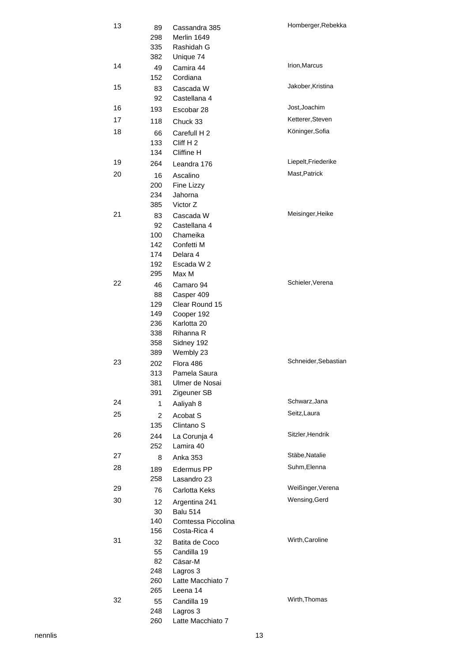| 13 | 89<br>298<br>335<br>382 | Cassandra 385<br>Merlin 1649<br>Rashidah G<br>Unique 74 | Homberger, Rebekka   |
|----|-------------------------|---------------------------------------------------------|----------------------|
| 14 | 49<br>152               | Camira 44<br>Cordiana                                   | Irion, Marcus        |
| 15 | 83<br>92                | Cascada W<br>Castellana 4                               | Jakober, Kristina    |
| 16 | 193                     | Escobar 28                                              | Jost, Joachim        |
| 17 | 118                     | Chuck 33                                                | Ketterer, Steven     |
| 18 |                         |                                                         | Köninger, Sofia      |
|    | 66                      | Carefull H 2                                            |                      |
|    | 133<br>134              | Cliff H2<br>Cliffine H                                  |                      |
| 19 | 264                     | Leandra 176                                             | Liepelt, Friederike  |
| 20 |                         |                                                         | Mast, Patrick        |
|    | 16<br>200               | Ascalino                                                |                      |
|    | 234                     | Fine Lizzy<br>Jahorna                                   |                      |
|    | 385                     | Victor Z                                                |                      |
| 21 | 83                      | Cascada W                                               | Meisinger, Heike     |
|    | 92                      | Castellana 4                                            |                      |
|    | 100                     | Chameika                                                |                      |
|    | 142                     | Confetti M                                              |                      |
|    | 174                     | Delara 4                                                |                      |
|    | 192                     | Escada W 2                                              |                      |
|    | 295                     | Max M                                                   |                      |
| 22 | 46                      | Camaro 94                                               | Schieler, Verena     |
|    | 88                      | Casper 409                                              |                      |
|    | 129<br>149              | Clear Round 15<br>Cooper 192                            |                      |
|    | 236                     | Karlotta 20                                             |                      |
|    | 338                     | Rihanna R                                               |                      |
|    | 358                     | Sidney 192                                              |                      |
|    | 389                     | Wembly 23                                               |                      |
| 23 | 202                     | Flora 486                                               | Schneider, Sebastian |
|    | 313                     | Pamela Saura                                            |                      |
|    | 381                     | Ulmer de Nosai                                          |                      |
|    | 391                     | Zigeuner SB                                             |                      |
| 24 | $\mathbf{1}$            | Aaliyah 8                                               | Schwarz, Jana        |
| 25 | $\overline{2}$          | Acobat S                                                | Seitz, Laura         |
|    | 135                     | Clintano <sub>S</sub>                                   | Sitzler, Hendrik     |
| 26 | 244<br>252              | La Corunja 4<br>Lamira 40                               |                      |
| 27 | 8                       | Anka 353                                                | Stäbe, Natalie       |
| 28 |                         |                                                         | Suhm, Elenna         |
|    | 189<br>258              | Edermus PP<br>Lasandro 23                               |                      |
| 29 | 76                      | Carlotta Keks                                           | Weißinger, Verena    |
| 30 |                         |                                                         | Wensing, Gerd        |
|    | 12 <sub>2</sub><br>30   | Argentina 241<br>Balu 514                               |                      |
|    | 140                     | Comtessa Piccolina                                      |                      |
|    | 156                     | Costa-Rica 4                                            |                      |
| 31 | 32                      | Batita de Coco                                          | Wirth, Caroline      |
|    | 55                      | Candilla 19                                             |                      |
|    | 82                      | Cäsar-M                                                 |                      |
|    | 248                     | Lagros 3                                                |                      |
|    | 260                     | Latte Macchiato 7                                       |                      |
|    | 265                     | Leena 14                                                | Wirth, Thomas        |
| 32 | 55                      | Candilla 19                                             |                      |
|    | 248<br>260              | Lagros 3<br>Latte Macchiato 7                           |                      |
|    |                         |                                                         |                      |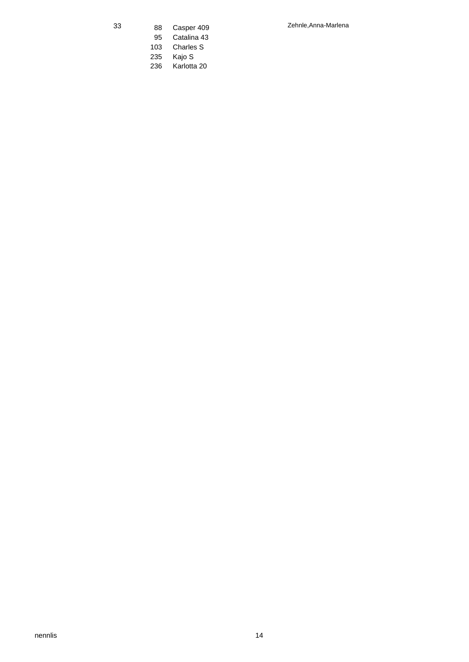- 
- 95 Catalina 43
- 103 Charles S<br>235 Kajo S Kajo S
- 236 Karlotta 20

33 Zehnle,Anna-Marlena 88 Casper 409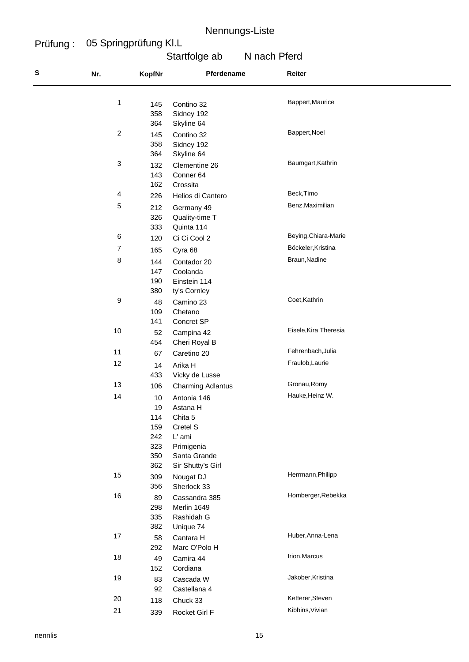#### Prüfung : 05 Springprüfung Kl.L

# Startfolge ab N nach Pferd

| S | Nr.            | KopfNr                                             | Pferdename                                                                                                  | Reiter                |  |
|---|----------------|----------------------------------------------------|-------------------------------------------------------------------------------------------------------------|-----------------------|--|
|   | 1              | 145<br>358<br>364                                  | Contino 32<br>Sidney 192<br>Skyline 64                                                                      | Bappert, Maurice      |  |
|   | $\overline{c}$ | 145<br>358<br>364                                  | Contino 32<br>Sidney 192<br>Skyline 64                                                                      | Bappert, Noel         |  |
|   | 3              | 132<br>143<br>162                                  | Clementine 26<br>Conner 64<br>Crossita                                                                      | Baumgart, Kathrin     |  |
|   | $\overline{4}$ | 226                                                | Helios di Cantero                                                                                           | Beck, Timo            |  |
|   | 5              | 212<br>326<br>333                                  | Germany 49<br>Quality-time T<br>Quinta 114                                                                  | Benz, Maximilian      |  |
|   | 6              | 120                                                | Ci Ci Cool 2                                                                                                | Beying, Chiara-Marie  |  |
|   | $\overline{7}$ | 165                                                | Cyra 68                                                                                                     | Böckeler, Kristina    |  |
|   | 8              | 144<br>147<br>190<br>380                           | Contador 20<br>Coolanda<br>Einstein 114<br>ty's Cornley                                                     | Braun, Nadine         |  |
|   | 9              | 48<br>109<br>141                                   | Camino 23<br>Chetano<br>Concret SP                                                                          | Coet, Kathrin         |  |
|   | 10             | 52<br>454                                          | Campina 42<br>Cheri Royal B                                                                                 | Eisele, Kira Theresia |  |
|   | 11             | 67                                                 | Caretino 20                                                                                                 | Fehrenbach, Julia     |  |
|   | 12             | 14<br>433                                          | Arika H<br>Vicky de Lusse                                                                                   | Fraulob, Laurie       |  |
|   | 13             | 106                                                | <b>Charming Adlantus</b>                                                                                    | Gronau, Romy          |  |
|   | 14             | 10<br>19<br>114<br>159<br>242<br>323<br>350<br>362 | Antonia 146<br>Astana H<br>Chita 5<br>Cretel S<br>L' ami<br>Primigenia<br>Santa Grande<br>Sir Shutty's Girl | Hauke, Heinz W.       |  |
|   | 15             | 309<br>356                                         | Nougat DJ<br>Sherlock 33                                                                                    | Herrmann, Philipp     |  |
|   | 16             | 89<br>298<br>335<br>382                            | Cassandra 385<br>Merlin 1649<br>Rashidah G<br>Unique 74                                                     | Homberger, Rebekka    |  |
|   | 17             | 58<br>292                                          | Cantara H<br>Marc O'Polo H                                                                                  | Huber, Anna-Lena      |  |
|   | 18             | 49<br>152                                          | Camira 44<br>Cordiana                                                                                       | Irion, Marcus         |  |
|   | 19             | 83<br>92                                           | Cascada W<br>Castellana 4                                                                                   | Jakober, Kristina     |  |
|   | 20             | 118                                                | Chuck 33                                                                                                    | Ketterer, Steven      |  |
|   | 21             | 339                                                | Rocket Girl F                                                                                               | Kibbins, Vivian       |  |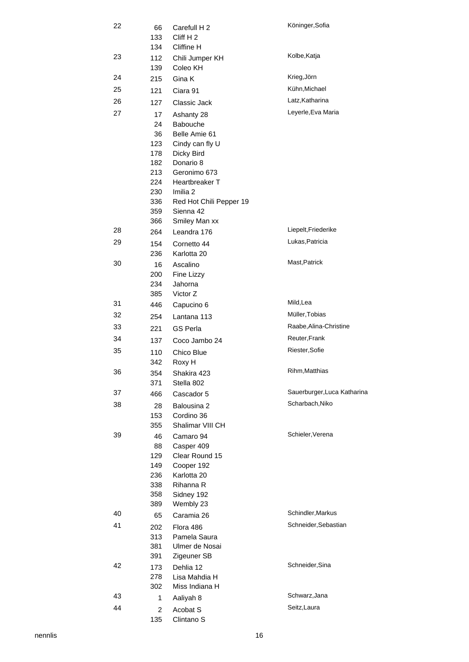| 22 | 66<br>133<br>134                                          | Carefull H 2<br>Cliff H <sub>2</sub><br>Cliffine H                                                                                                          | Köninger, Sofia             |
|----|-----------------------------------------------------------|-------------------------------------------------------------------------------------------------------------------------------------------------------------|-----------------------------|
| 23 | 112<br>139                                                | Chili Jumper KH<br>Coleo KH                                                                                                                                 | Kolbe, Katja                |
| 24 | 215                                                       | Gina K                                                                                                                                                      | Krieg, Jörn                 |
| 25 | 121                                                       | Ciara 91                                                                                                                                                    | Kühn, Michael               |
| 26 | 127                                                       | Classic Jack                                                                                                                                                | Latz, Katharina             |
| 27 | 17                                                        | Ashanty 28                                                                                                                                                  | Leyerle, Eva Maria          |
|    | 24<br>36<br>123<br>178<br>182<br>213<br>224<br>230<br>336 | Babouche<br>Belle Amie 61<br>Cindy can fly U<br>Dicky Bird<br>Donario 8<br>Geronimo 673<br>Heartbreaker T<br>Imilia <sub>2</sub><br>Red Hot Chili Pepper 19 |                             |
|    | 359                                                       | Sienna 42                                                                                                                                                   |                             |
| 28 | 366<br>264                                                | Smiley Man xx<br>Leandra 176                                                                                                                                | Liepelt, Friederike         |
| 29 | 154<br>236                                                | Cornetto 44<br>Karlotta 20                                                                                                                                  | Lukas, Patricia             |
| 30 | 16<br>200<br>234                                          | Ascalino<br>Fine Lizzy<br>Jahorna                                                                                                                           | Mast, Patrick               |
| 31 | 385<br>446                                                | Victor Z<br>Capucino 6                                                                                                                                      | Mild, Lea                   |
| 32 | 254                                                       | Lantana 113                                                                                                                                                 | Müller, Tobias              |
| 33 |                                                           | GS Perla                                                                                                                                                    | Raabe, Alina-Christine      |
| 34 | 221                                                       |                                                                                                                                                             | Reuter, Frank               |
| 35 | 137                                                       | Coco Jambo 24                                                                                                                                               | Riester, Sofie              |
|    | 110<br>342                                                | Chico Blue<br>Roxy H                                                                                                                                        |                             |
| 36 | 354<br>371                                                | Shakira 423<br>Stella 802                                                                                                                                   | Rihm, Matthias              |
| 37 | 466                                                       | Cascador 5                                                                                                                                                  | Sauerburger, Luca Katharina |
| 38 | 28<br>153<br>355                                          | Balousina 2<br>Cordino 36<br>Shalimar VIII CH                                                                                                               | Scharbach, Niko             |
| 39 | 46<br>88<br>129<br>149<br>236<br>338<br>358<br>389        | Camaro 94<br>Casper 409<br>Clear Round 15<br>Cooper 192<br>Karlotta 20<br>Rihanna R<br>Sidney 192<br>Wembly 23                                              | Schieler, Verena            |
| 40 | 65                                                        | Caramia 26                                                                                                                                                  | Schindler, Markus           |
| 41 | 202<br>313<br>381                                         | Flora 486<br>Pamela Saura<br>Ulmer de Nosai                                                                                                                 | Schneider, Sebastian        |
| 42 | 391<br>173<br>278<br>302                                  | Zigeuner SB<br>Dehlia 12<br>Lisa Mahdia H<br>Miss Indiana H                                                                                                 | Schneider, Sina             |
| 43 | 1                                                         | Aaliyah 8                                                                                                                                                   | Schwarz, Jana               |
| 44 | $\overline{\mathbf{c}}$<br>135                            | Acobat S<br>Clintano <sub>S</sub>                                                                                                                           | Seitz, Laura                |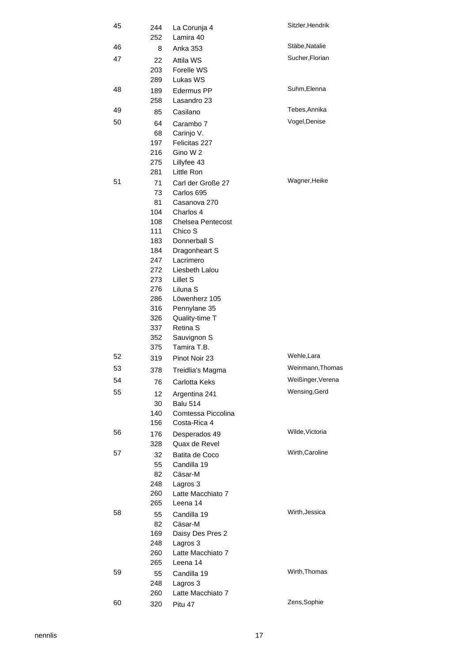| 45 | 244<br>252 | Sitzler, Hendrik<br>La Corunja 4<br>Lamira 40 |                   |  |
|----|------------|-----------------------------------------------|-------------------|--|
| 46 | 8          | Anka 353                                      | Stäbe, Natalie    |  |
| 47 | 22         | Attila WS                                     | Sucher, Florian   |  |
|    | 203        | Forelle WS                                    |                   |  |
|    | 289        | Lukas WS                                      |                   |  |
| 48 | 189        | Edermus PP                                    | Suhm, Elenna      |  |
|    | 258        | Lasandro 23                                   |                   |  |
| 49 | 85         | Casilano                                      | Tebes, Annika     |  |
| 50 |            |                                               | Vogel, Denise     |  |
|    | 64         | Carambo 7                                     |                   |  |
|    | 68         | Carinjo V.                                    |                   |  |
|    | 197        | Felicitas 227                                 |                   |  |
|    | 216        | Gino W 2                                      |                   |  |
|    | 275        | Lillyfee 43                                   |                   |  |
|    | 281        | Little Ron                                    |                   |  |
| 51 | 71         | Carl der Große 27                             | Wagner, Heike     |  |
|    | 73         | Carlos 695                                    |                   |  |
|    | 81         | Casanova 270                                  |                   |  |
|    | 104        | Charlos 4                                     |                   |  |
|    | 108        | <b>Chelsea Pentecost</b>                      |                   |  |
|    | 111        | Chico S                                       |                   |  |
|    | 183        | Donnerball S                                  |                   |  |
|    | 184        | Dragonheart S                                 |                   |  |
|    | 247        | Lacrimero                                     |                   |  |
|    | 272        | Liesbeth Lalou                                |                   |  |
|    | 273        | Lillet S                                      |                   |  |
|    | 276        | Liluna S                                      |                   |  |
|    | 286        | Löwenherz 105                                 |                   |  |
|    | 316        | Pennylane 35                                  |                   |  |
|    | 326        | Quality-time T                                |                   |  |
|    | 337        | Retina <sub>S</sub>                           |                   |  |
|    | 352        | Sauvignon S                                   |                   |  |
|    | 375        | Tamira T.B.                                   |                   |  |
| 52 | 319        | Pinot Noir 23                                 | Wehle, Lara       |  |
| 53 | 378        | Treidlia's Magma                              | Weinmann, Thomas  |  |
| 54 | 76         | Carlotta Keks                                 | Weißinger, Verena |  |
| 55 |            |                                               | Wensing, Gerd     |  |
|    | 12         | Argentina 241                                 |                   |  |
|    | 30         | <b>Balu 514</b>                               |                   |  |
|    | 140<br>156 | Comtessa Piccolina                            |                   |  |
|    |            | Costa-Rica 4                                  | Wilde, Victoria   |  |
| 56 | 176        | Desperados 49                                 |                   |  |
|    | 328        | Quax de Revel                                 | Wirth, Caroline   |  |
| 57 | 32         | Batita de Coco                                |                   |  |
|    | 55         | Candilla 19                                   |                   |  |
|    | 82         | Cäsar-M                                       |                   |  |
|    | 248        | Lagros 3                                      |                   |  |
|    | 260        | Latte Macchiato 7                             |                   |  |
|    | 265        | Leena 14                                      |                   |  |
| 58 | 55         | Candilla 19                                   | Wirth, Jessica    |  |
|    | 82         | Cäsar-M                                       |                   |  |
|    | 169        | Daisy Des Pres 2                              |                   |  |
|    | 248        | Lagros 3                                      |                   |  |
|    | 260        | Latte Macchiato 7                             |                   |  |
|    | 265        | Leena 14                                      |                   |  |
| 59 | 55         | Candilla 19                                   | Wirth, Thomas     |  |
|    | 248        | Lagros 3                                      |                   |  |
|    | 260        | Latte Macchiato 7                             |                   |  |
| 60 | 320        | Pitu 47                                       | Zens, Sophie      |  |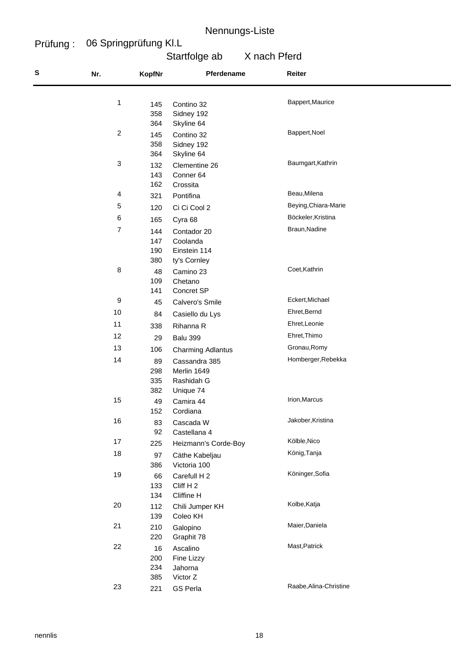#### Prüfung : 06 Springprüfung Kl.L

# Startfolge ab X nach Pferd

| S | Nr.            | <b>KopfNr</b>                  | Pferdename                                                                   | Reiter                 |
|---|----------------|--------------------------------|------------------------------------------------------------------------------|------------------------|
|   | 1              | 145<br>358                     | Contino 32<br>Sidney 192                                                     | Bappert, Maurice       |
|   | $\sqrt{2}$     | 364<br>145<br>358<br>364       | Skyline 64<br>Contino 32<br>Sidney 192<br>Skyline 64                         | Bappert, Noel          |
|   | $\sqrt{3}$     | 132<br>143<br>162              | Clementine 26<br>Conner 64<br>Crossita                                       | Baumgart, Kathrin      |
|   | $\overline{4}$ | 321                            | Pontifina                                                                    | Beau, Milena           |
|   | 5              | 120                            | Ci Ci Cool 2                                                                 | Beying, Chiara-Marie   |
|   | $\,6$          | 165                            | Cyra 68                                                                      | Böckeler, Kristina     |
|   | $\overline{7}$ | 144<br>147<br>190              | Contador 20<br>Coolanda<br>Einstein 114                                      | Braun, Nadine          |
|   | 8              | 380<br>48<br>109<br>141        | ty's Cornley<br>Camino 23<br>Chetano<br>Concret SP                           | Coet, Kathrin          |
|   | 9              | 45                             | Calvero's Smile                                                              | Eckert, Michael        |
|   | 10             | 84                             |                                                                              | Ehret, Bernd           |
|   | 11             |                                | Casiello du Lys                                                              | Ehret, Leonie          |
|   | 12             | 338                            | Rihanna R                                                                    | Ehret, Thimo           |
|   | 13             | 29                             | <b>Balu 399</b>                                                              | Gronau, Romy           |
|   | 14             | 106<br>89<br>298<br>335<br>382 | Charming Adlantus<br>Cassandra 385<br>Merlin 1649<br>Rashidah G<br>Unique 74 | Homberger, Rebekka     |
|   | 15             | 49<br>152                      | Camira 44<br>Cordiana                                                        | Irion, Marcus          |
|   | 16             | 83<br>92                       | Cascada W<br>Castellana 4                                                    | Jakober, Kristina      |
|   | 17             | 225                            | Heizmann's Corde-Boy                                                         | Kölble, Nico           |
|   | 18             | 97<br>386                      | Cäthe Kabeljau<br>Victoria 100                                               | König, Tanja           |
|   | 19             | 66<br>133<br>134               | Carefull H 2<br>Cliff H <sub>2</sub><br>Cliffine H                           | Köninger, Sofia        |
|   | 20             | 112<br>139                     | Chili Jumper KH<br>Coleo KH                                                  | Kolbe, Katja           |
|   | 21             | 210<br>220                     | Galopino<br>Graphit 78                                                       | Maier, Daniela         |
|   | 22             | 16<br>200<br>234<br>385        | Ascalino<br>Fine Lizzy<br>Jahorna<br>Victor Z                                | Mast, Patrick          |
|   | 23             | 221                            | <b>GS Perla</b>                                                              | Raabe, Alina-Christine |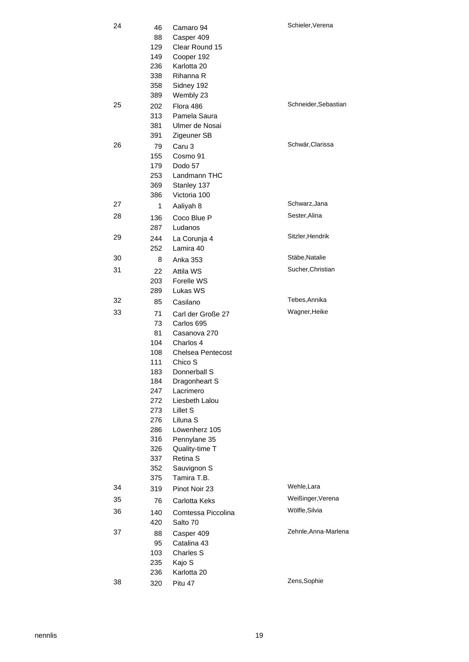| 24<br>46<br>88<br>129 |            | Camaro 94<br>Casper 409<br>Clear Round 15 | Schieler, Verena     |
|-----------------------|------------|-------------------------------------------|----------------------|
|                       | 149        | Cooper 192                                |                      |
|                       | 236        | Karlotta 20                               |                      |
|                       | 338        | Rihanna R                                 |                      |
|                       | 358        | Sidney 192                                |                      |
| 25                    | 389        | Wembly 23                                 | Schneider, Sebastian |
|                       | 202<br>313 | Flora 486<br>Pamela Saura                 |                      |
|                       | 381        | Ulmer de Nosai                            |                      |
|                       | 391        | Zigeuner SB                               |                      |
| 26                    | 79         | Caru 3                                    | Schwär, Clarissa     |
|                       | 155        | Cosmo 91                                  |                      |
|                       | 179        | Dodo 57                                   |                      |
|                       | 253        | Landmann THC                              |                      |
|                       | 369        | Stanley 137                               |                      |
|                       | 386        | Victoria 100                              |                      |
| 27                    | 1          | Aaliyah 8                                 | Schwarz, Jana        |
| 28                    | 136        | Coco Blue P                               | Sester, Alina        |
|                       | 287        | Ludanos                                   |                      |
| 29                    | 244        | La Corunja 4                              | Sitzler, Hendrik     |
|                       | 252        | Lamira 40                                 |                      |
| 30                    | 8          | Anka 353                                  | Stäbe, Natalie       |
| 31                    | 22         | Attila WS                                 | Sucher, Christian    |
|                       | 203        | Forelle WS                                |                      |
|                       | 289        | Lukas WS                                  |                      |
| 32                    | 85         | Casilano                                  | Tebes, Annika        |
| 33                    | 71         | Carl der Große 27                         | Wagner, Heike        |
|                       | 73         | Carlos 695                                |                      |
|                       | 81         | Casanova 270                              |                      |
|                       | 104        | Charlos 4                                 |                      |
|                       | 108        | <b>Chelsea Pentecost</b>                  |                      |
|                       | 111<br>183 | Chico S<br>Donnerball S                   |                      |
|                       | 184        | Dragonheart S                             |                      |
|                       | 247        | Lacrimero                                 |                      |
|                       | 272        | Liesbeth Lalou                            |                      |
|                       | 273        | Lillet S                                  |                      |
|                       | 276        | Liluna <sub>S</sub>                       |                      |
|                       | 286        | Löwenherz 105                             |                      |
|                       | 316        | Pennylane 35                              |                      |
|                       | 326        | Quality-time T                            |                      |
|                       | 337        | Retina S                                  |                      |
|                       | 352<br>375 | Sauvignon S<br>Tamira T.B.                |                      |
| 34                    | 319        | Pinot Noir 23                             | Wehle, Lara          |
| 35                    |            |                                           | Weißinger, Verena    |
| 36                    | 76         | Carlotta Keks                             | Wölfle, Silvia       |
|                       | 140        | Comtessa Piccolina                        |                      |
| 37                    | 420        | Salto 70                                  | Zehnle, Anna-Marlena |
|                       | 88<br>95   | Casper 409<br>Catalina 43                 |                      |
|                       | 103        | Charles S                                 |                      |
|                       | 235        | Kajo S                                    |                      |
|                       | 236        | Karlotta 20                               |                      |
| 38                    | 320        | Pitu 47                                   | Zens, Sophie         |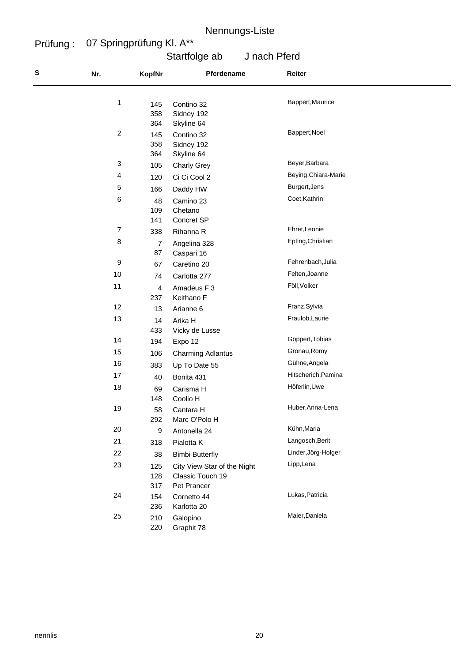#### Prüfung : 07 Springprüfung Kl. A\*\*

# Startfolge ab J nach Pferd

| S | Nr.              | <b>KopfNr</b>     | Pferdename                                                     | Reiter               |
|---|------------------|-------------------|----------------------------------------------------------------|----------------------|
|   | 1                | 145<br>358<br>364 | Contino 32<br>Sidney 192<br>Skyline 64                         | Bappert, Maurice     |
|   | $\overline{c}$   | 145<br>358<br>364 | Contino 32<br>Sidney 192<br>Skyline 64                         | Bappert, Noel        |
|   | 3                | 105               | <b>Charly Grey</b>                                             | Beyer, Barbara       |
|   | 4                | 120               | Ci Ci Cool 2                                                   | Beying, Chiara-Marie |
|   | 5                | 166               | Daddy HW                                                       | Burgert, Jens        |
|   | 6                | 48<br>109<br>141  | Camino 23<br>Chetano<br>Concret SP                             | Coet, Kathrin        |
|   | $\boldsymbol{7}$ | 338               | Rihanna R                                                      | Ehret, Leonie        |
|   | 8                | 7<br>87           | Angelina 328<br>Caspari 16                                     | Epting, Christian    |
|   | 9                | 67                | Caretino 20                                                    | Fehrenbach, Julia    |
|   | 10               | 74                | Carlotta 277                                                   | Felten, Joanne       |
|   | 11               | 4<br>237          | Amadeus F 3<br>Keithano F                                      | Föll, Volker         |
|   | 12               | 13                | Arianne 6                                                      | Franz, Sylvia        |
|   | 13               | 14<br>433         | Arika H<br>Vicky de Lusse                                      | Fraulob, Laurie      |
|   | 14               | 194               | Expo 12                                                        | Göppert, Tobias      |
|   | 15               | 106               | <b>Charming Adlantus</b>                                       | Gronau, Romy         |
|   | 16               | 383               | Up To Date 55                                                  | Gühne, Angela        |
|   | 17               | 40                | Bonita 431                                                     | Hitscherich, Pamina  |
|   | 18               | 69<br>148         | Carisma H<br>Coolio H                                          | Höferlin, Uwe        |
|   | 19               | 58<br>292         | Cantara H<br>Marc O'Polo H                                     | Huber, Anna-Lena     |
|   | 20               | 9                 | Antonella 24                                                   | Kühn, Maria          |
|   | 21               | 318               | Pialotta K                                                     | Langosch, Berit      |
|   | 22               | 38                | <b>Bimbi Butterfly</b>                                         | Linder, Jörg-Holger  |
|   | 23               | 125<br>128<br>317 | City View Star of the Night<br>Classic Touch 19<br>Pet Prancer | Lipp, Lena           |
|   | 24               | 154<br>236        | Cornetto 44<br>Karlotta 20                                     | Lukas, Patricia      |
|   | 25               | 210<br>220        | Galopino<br>Graphit 78                                         | Maier, Daniela       |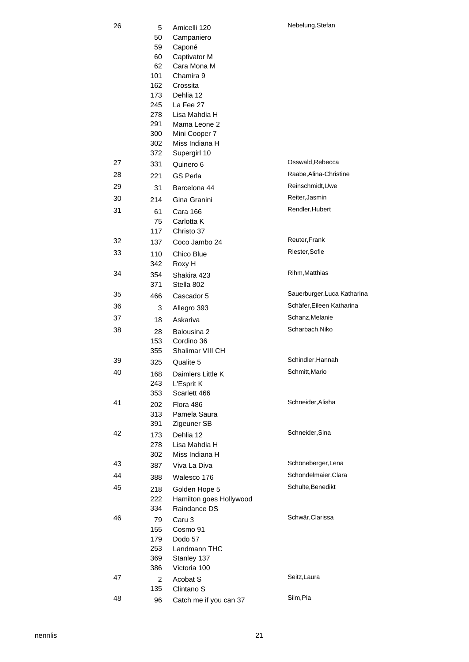| 26 | 5<br>50    | Amicelli 120<br>Campaniero      | Nebelung, Stefan                                         |
|----|------------|---------------------------------|----------------------------------------------------------|
|    | 59         | Caponé                          |                                                          |
|    | 60         | Captivator M                    |                                                          |
|    | 62         | Cara Mona M                     |                                                          |
|    | 101<br>162 | Chamira 9<br>Crossita           |                                                          |
|    | 173        | Dehlia 12                       |                                                          |
|    | 245        | La Fee 27                       |                                                          |
|    | 278        | Lisa Mahdia H                   |                                                          |
|    | 291        | Mama Leone 2                    |                                                          |
|    | 300        | Mini Cooper 7                   |                                                          |
|    | 302<br>372 | Miss Indiana H<br>Supergirl 10  |                                                          |
| 27 | 331        | Quinero 6                       | Osswald, Rebecca                                         |
| 28 | 221        | <b>GS Perla</b>                 | Raabe, Alina-Christine                                   |
| 29 | 31         | Barcelona 44                    | Reinschmidt, Uwe                                         |
| 30 | 214        | Gina Granini                    | Reiter, Jasmin                                           |
| 31 | 61         | Cara 166                        | Rendler, Hubert                                          |
|    | 75         | Carlotta K                      |                                                          |
|    | 117        | Christo 37                      |                                                          |
| 32 | 137        | Coco Jambo 24                   | Reuter, Frank                                            |
| 33 | 110        | Chico Blue                      | Riester, Sofie                                           |
|    | 342        | Roxy H                          |                                                          |
| 34 | 354        | Shakira 423                     | Rihm, Matthias                                           |
|    | 371        | Stella 802                      |                                                          |
| 35 | 466        | Cascador 5                      | Sauerburger, Luca Katharina<br>Schäfer, Eileen Katharina |
| 36 | 3          | Allegro 393                     | Schanz, Melanie                                          |
| 37 | 18         | Askariva                        |                                                          |
| 38 | 28         | Balousina 2                     | Scharbach, Niko                                          |
|    | 153<br>355 | Cordino 36<br>Shalimar VIII CH  |                                                          |
| 39 | 325        | Qualite 5                       | Schindler, Hannah                                        |
| 40 | 168        | Daimlers Little K               | Schmitt, Mario                                           |
|    | 243        | L'Esprit K                      |                                                          |
|    | 353        | Scarlett 466                    |                                                          |
| 41 | 202        | Flora 486                       | Schneider, Alisha                                        |
|    | 313        | Pamela Saura                    |                                                          |
|    | 391        | Zigeuner SB                     |                                                          |
| 42 | 173        | Dehlia 12                       | Schneider, Sina                                          |
|    | 278<br>302 | Lisa Mahdia H<br>Miss Indiana H |                                                          |
| 43 | 387        | Viva La Diva                    | Schöneberger, Lena                                       |
| 44 | 388        | Walesco 176                     | Schondelmaier, Clara                                     |
| 45 | 218        | Golden Hope 5                   | Schulte, Benedikt                                        |
|    | 222        | Hamilton goes Hollywood         |                                                          |
|    | 334        | Raindance DS                    |                                                          |
| 46 | 79         | Caru 3                          | Schwär, Clarissa                                         |
|    | 155        | Cosmo 91                        |                                                          |
|    | 179        | Dodo 57                         |                                                          |
|    | 253<br>369 | Landmann THC<br>Stanley 137     |                                                          |
|    | 386        | Victoria 100                    |                                                          |
| 47 | 2          | Acobat S                        | Seitz, Laura                                             |
|    | 135        | Clintano <sub>S</sub>           |                                                          |
| 48 | 96         | Catch me if you can 37          | Silm, Pia                                                |

48 96 Catch me if you can 37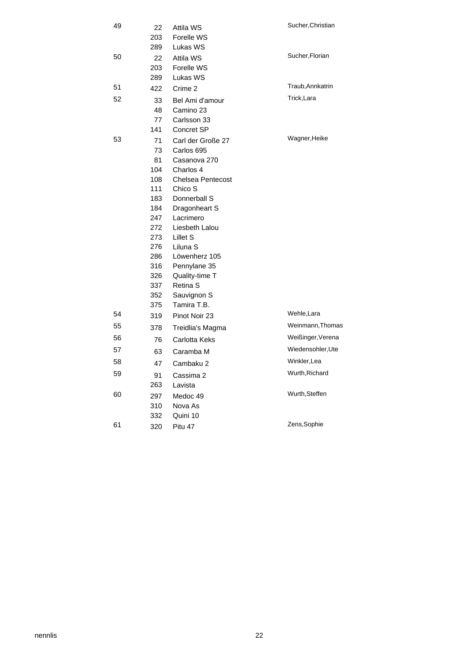| 49 | 22<br>203        | Attila WS<br>Forelle WS             | Sucher, Christian |
|----|------------------|-------------------------------------|-------------------|
| 50 | 289<br>22<br>203 | Lukas WS<br>Attila WS<br>Forelle WS | Sucher, Florian   |
| 51 | 289<br>422       | Lukas WS<br>Crime 2                 | Traub, Annkatrin  |
| 52 | 33               | Bel Ami d'amour                     | Trick, Lara       |
|    | 48               | Camino 23                           |                   |
|    | 77               | Carlsson 33                         |                   |
|    | 141              | Concret SP                          |                   |
| 53 | 71               | Carl der Große 27                   | Wagner, Heike     |
|    | 73               | Carlos 695                          |                   |
|    | 81               | Casanova 270                        |                   |
|    | 104              | Charlos 4                           |                   |
|    | 108              | <b>Chelsea Pentecost</b>            |                   |
|    | 111              | Chico S                             |                   |
|    | 183              | Donnerball S                        |                   |
|    | 184              | Dragonheart S                       |                   |
|    | 247              | Lacrimero                           |                   |
|    | 272              | Liesbeth Lalou                      |                   |
|    | 273              | Lillet S                            |                   |
|    | 276              | Liluna <sub>S</sub>                 |                   |
|    | 286              | Löwenherz 105                       |                   |
|    | 316              | Pennylane 35                        |                   |
|    | 326              | Quality-time T                      |                   |
|    | 337<br>352       | Retina S                            |                   |
|    | 375              | Sauvignon S<br>Tamira T.B.          |                   |
| 54 | 319              | Pinot Noir 23                       | Wehle, Lara       |
| 55 | 378              | Treidlia's Magma                    | Weinmann, Thomas  |
| 56 | 76               | Carlotta Keks                       | Weißinger, Verena |
| 57 |                  | Caramba M                           | Wiedensohler, Ute |
| 58 | 63               |                                     | Winkler, Lea      |
| 59 | 47               | Cambaku 2                           | Wurth, Richard    |
|    | 91<br>263        | Cassima 2<br>Lavista                |                   |
| 60 |                  |                                     | Wurth, Steffen    |
|    | 297              | Medoc 49<br>Nova As                 |                   |
|    | 310<br>332       | Quini 10                            |                   |
| 61 |                  |                                     | Zens, Sophie      |
|    | 320              | Pitu 47                             |                   |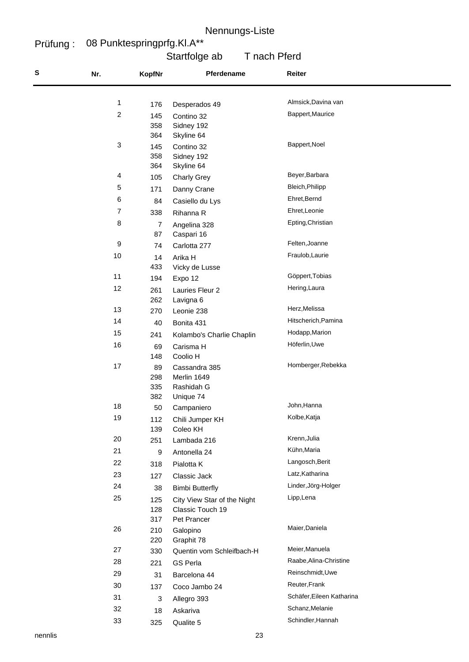#### Prüfung : 08 Punktespringprfg.Kl.A\*\*

## Startfolge ab T nach Pferd

| S | Nr.                     | <b>KopfNr</b> | Pferdename                      | Reiter                    |
|---|-------------------------|---------------|---------------------------------|---------------------------|
|   |                         |               |                                 |                           |
|   | 1                       | 176           | Desperados 49                   | Almsick, Davina van       |
|   | $\overline{\mathbf{c}}$ | 145           | Contino 32                      | Bappert, Maurice          |
|   |                         | 358           | Sidney 192                      |                           |
|   |                         | 364           | Skyline 64                      |                           |
|   | 3                       | 145           | Contino 32                      | Bappert, Noel             |
|   |                         | 358           | Sidney 192                      |                           |
|   | 4                       | 364           | Skyline 64                      | Beyer, Barbara            |
|   | 5                       | 105           | <b>Charly Grey</b>              | Bleich, Philipp           |
|   |                         | 171           | Danny Crane                     | Ehret, Bernd              |
|   | 6                       | 84            | Casiello du Lys                 |                           |
|   | 7                       | 338           | Rihanna R                       | Ehret, Leonie             |
|   | 8                       | 7             | Angelina 328                    | Epting, Christian         |
|   | 9                       | 87            | Caspari 16                      | Felten, Joanne            |
|   | 10                      | 74            | Carlotta 277                    | Fraulob, Laurie           |
|   |                         | 14<br>433     | Arika H                         |                           |
|   | 11                      | 194           | Vicky de Lusse<br>Expo 12       | Göppert, Tobias           |
|   | 12                      |               |                                 | Hering, Laura             |
|   |                         | 261<br>262    | Lauries Fleur 2<br>Lavigna 6    |                           |
|   | 13                      | 270           | Leonie 238                      | Herz, Melissa             |
|   | 14                      | 40            | Bonita 431                      | Hitscherich, Pamina       |
|   | 15                      | 241           | Kolambo's Charlie Chaplin       | Hodapp, Marion            |
|   | 16                      | 69            | Carisma H                       | Höferlin, Uwe             |
|   |                         | 148           | Coolio H                        |                           |
|   | 17                      | 89            | Cassandra 385                   | Homberger, Rebekka        |
|   |                         | 298           | Merlin 1649                     |                           |
|   |                         | 335           | Rashidah G                      |                           |
|   |                         | 382           | Unique 74                       |                           |
|   | 18                      | 50            | Campaniero                      | John, Hanna               |
|   | 19                      | 112           | Chili Jumper KH                 | Kolbe, Katja              |
|   | $20\,$                  | 139           | Coleo KH                        | Krenn, Julia              |
|   | 21                      | 251           | Lambada 216                     | Kühn, Maria               |
|   |                         | 9             | Antonella 24                    | Langosch, Berit           |
|   | 22                      | 318           | Pialotta K                      | Latz, Katharina           |
|   | 23                      | 127           | Classic Jack                    |                           |
|   | 24                      | 38            | <b>Bimbi Butterfly</b>          | Linder, Jörg-Holger       |
|   | 25                      | 125           | City View Star of the Night     | Lipp, Lena                |
|   |                         | 128<br>317    | Classic Touch 19<br>Pet Prancer |                           |
|   | 26                      | 210           | Galopino                        | Maier, Daniela            |
|   |                         | 220           | Graphit 78                      |                           |
|   | 27                      | 330           | Quentin vom Schleifbach-H       | Meier, Manuela            |
|   | 28                      | 221           | <b>GS Perla</b>                 | Raabe, Alina-Christine    |
|   | 29                      | 31            | Barcelona 44                    | Reinschmidt, Uwe          |
|   | $30\,$                  | 137           | Coco Jambo 24                   | Reuter, Frank             |
|   | 31                      | 3             | Allegro 393                     | Schäfer, Eileen Katharina |
|   | 32                      | 18            | Askariva                        | Schanz, Melanie           |
|   | 33                      | 325           | Qualite 5                       | Schindler, Hannah         |
|   |                         |               |                                 |                           |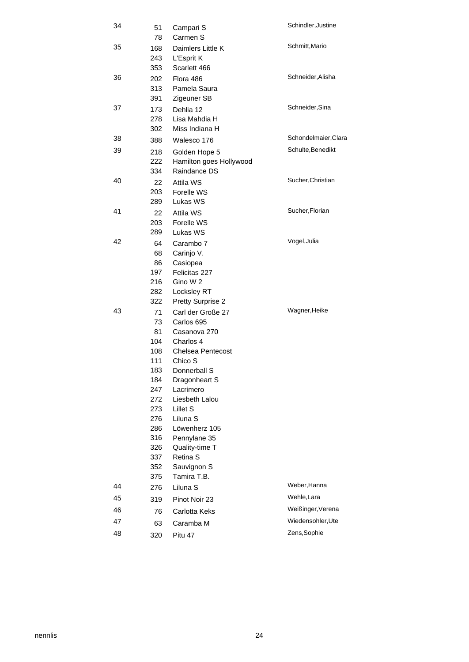| 34 | 51<br>78   | Campari S<br>Carmen S           | Schindler, Justine   |
|----|------------|---------------------------------|----------------------|
| 35 | 168<br>243 | Daimlers Little K<br>L'Esprit K | Schmitt, Mario       |
|    | 353        | Scarlett 466                    |                      |
| 36 | 202        | Flora 486                       | Schneider, Alisha    |
|    | 313        | Pamela Saura                    |                      |
|    | 391        | Zigeuner SB                     |                      |
| 37 | 173        | Dehlia 12                       | Schneider, Sina      |
|    | 278        | Lisa Mahdia H                   |                      |
|    | 302        | Miss Indiana H                  |                      |
| 38 | 388        | Walesco 176                     | Schondelmaier, Clara |
| 39 | 218        | Golden Hope 5                   | Schulte, Benedikt    |
|    | 222        | Hamilton goes Hollywood         |                      |
|    | 334        | Raindance DS                    |                      |
| 40 | 22         | Attila WS                       | Sucher, Christian    |
|    | 203        | Forelle WS                      |                      |
|    | 289        | Lukas WS                        |                      |
| 41 | 22         | Attila WS                       | Sucher, Florian      |
|    | 203        | Forelle WS                      |                      |
|    | 289        | Lukas WS                        |                      |
| 42 | 64         | Carambo 7                       | Vogel, Julia         |
|    | 68         | Carinjo V.                      |                      |
|    | 86         | Casiopea                        |                      |
|    | 197<br>216 | Felicitas 227<br>Gino W 2       |                      |
|    | 282        | Locksley RT                     |                      |
|    | 322        | <b>Pretty Surprise 2</b>        |                      |
| 43 | 71         | Carl der Große 27               | Wagner, Heike        |
|    | 73         | Carlos 695                      |                      |
|    | 81         | Casanova 270                    |                      |
|    | 104        | Charlos 4                       |                      |
|    | 108        | <b>Chelsea Pentecost</b>        |                      |
|    | 111        | Chico S                         |                      |
|    | 183        | Donnerball S                    |                      |
|    | 184        | Dragonheart S                   |                      |
|    | 247        | Lacrimero                       |                      |
|    | 272        | Liesbeth Lalou                  |                      |
|    | 273<br>276 | Lillet S<br>Liluna S            |                      |
|    | 286        | Löwenherz 105                   |                      |
|    | 316        | Pennylane 35                    |                      |
|    | 326        | Quality-time T                  |                      |
|    | 337        | Retina S                        |                      |
|    | 352        | Sauvignon S                     |                      |
|    | 375        | Tamira T.B.                     |                      |
| 44 | 276        | Liluna <sub>S</sub>             | Weber, Hanna         |
| 45 | 319        | Pinot Noir 23                   | Wehle, Lara          |
| 46 | 76         | Carlotta Keks                   | Weißinger, Verena    |
| 47 | 63         | Caramba M                       | Wiedensohler, Ute    |
| 48 | 320        | Pitu 47                         | Zens, Sophie         |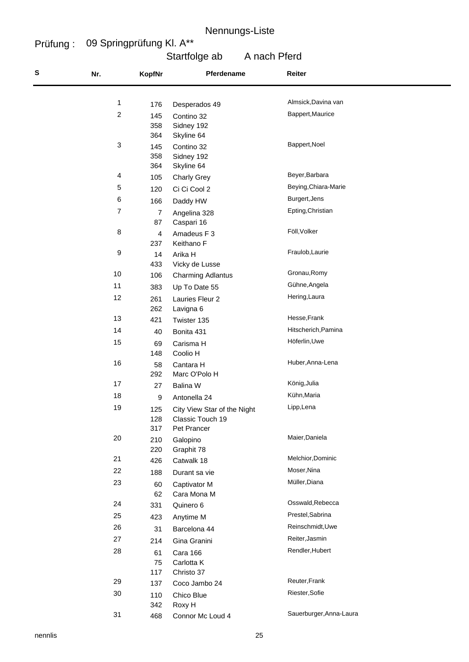#### Prüfung : 09 Springprüfung Kl. A\*\*

# Startfolge ab A nach Pferd

| S | Nr.              | <b>KopfNr</b>  | Pferdename                  | Reiter                  |
|---|------------------|----------------|-----------------------------|-------------------------|
|   |                  |                |                             |                         |
|   | $\mathbf{1}$     | 176            | Desperados 49               | Almsick, Davina van     |
|   | $\overline{c}$   | 145            | Contino 32                  | Bappert, Maurice        |
|   |                  | 358            | Sidney 192                  |                         |
|   | 3                | 364            | Skyline 64                  | Bappert, Noel           |
|   |                  | 145<br>358     | Contino 32<br>Sidney 192    |                         |
|   |                  | 364            | Skyline 64                  |                         |
|   | 4                | 105            | <b>Charly Grey</b>          | Beyer, Barbara          |
|   | 5                | 120            | Ci Ci Cool 2                | Beying, Chiara-Marie    |
|   | 6                | 166            | Daddy HW                    | Burgert, Jens           |
|   | $\boldsymbol{7}$ | $\overline{7}$ | Angelina 328                | Epting, Christian       |
|   |                  | 87             | Caspari 16                  |                         |
|   | 8                | $\overline{4}$ | Amadeus F 3                 | Föll, Volker            |
|   |                  | 237            | Keithano F                  |                         |
|   | 9                | 14             | Arika H                     | Fraulob, Laurie         |
|   |                  | 433            | Vicky de Lusse              |                         |
|   | 10               | 106            | <b>Charming Adlantus</b>    | Gronau, Romy            |
|   | 11               | 383            | Up To Date 55               | Gühne, Angela           |
|   | 12               | 261            | Lauries Fleur 2             | Hering, Laura           |
|   | 13               | 262            | Lavigna 6                   | Hesse, Frank            |
|   | 14               | 421            | Twister 135                 | Hitscherich, Pamina     |
|   |                  | 40             | Bonita 431                  |                         |
|   | 15               | 69             | Carisma H                   | Höferlin, Uwe           |
|   | 16               | 148<br>58      | Coolio H<br>Cantara H       | Huber, Anna-Lena        |
|   |                  | 292            | Marc O'Polo H               |                         |
|   | 17               | 27             | Balina W                    | König, Julia            |
|   | 18               | 9              | Antonella 24                | Kühn, Maria             |
|   | 19               | 125            | City View Star of the Night | Lipp, Lena              |
|   |                  | 128            | Classic Touch 19            |                         |
|   |                  | 317            | Pet Prancer                 |                         |
|   | 20               | 210            | Galopino                    | Maier, Daniela          |
|   |                  | 220            | Graphit 78                  |                         |
|   | 21               | 426            | Catwalk 18                  | Melchior, Dominic       |
|   | 22               | 188            | Durant sa vie               | Moser, Nina             |
|   | 23               | 60             | Captivator M                | Müller, Diana           |
|   |                  | 62             | Cara Mona M                 | Osswald, Rebecca        |
|   | 24               | 331            | Quinero 6                   | Prestel, Sabrina        |
|   | 25               | 423            | Anytime M                   |                         |
|   | 26               | 31             | Barcelona 44                | Reinschmidt, Uwe        |
|   | 27               | 214            | Gina Granini                | Reiter, Jasmin          |
|   | 28               | 61             | Cara 166                    | Rendler, Hubert         |
|   |                  | 75<br>117      | Carlotta K                  |                         |
|   | 29               | 137            | Christo 37<br>Coco Jambo 24 | Reuter, Frank           |
|   | $30\,$           | 110            | Chico Blue                  | Riester, Sofie          |
|   |                  | 342            | Roxy H                      |                         |
|   | 31               | 468            | Connor Mc Loud 4            | Sauerburger, Anna-Laura |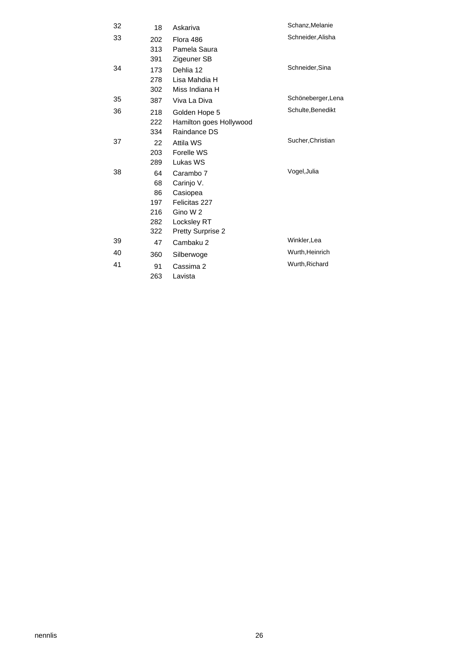| 32 | 18  | Askariva                 | Schanz, Melanie    |
|----|-----|--------------------------|--------------------|
| 33 | 202 | Flora 486                | Schneider, Alisha  |
|    | 313 | Pamela Saura             |                    |
|    | 391 | Zigeuner SB              |                    |
| 34 | 173 | Dehlia 12                | Schneider, Sina    |
|    | 278 | Lisa Mahdia H            |                    |
|    | 302 | Miss Indiana H           |                    |
| 35 | 387 | Viva La Diva             | Schöneberger, Lena |
| 36 | 218 | Golden Hope 5            | Schulte, Benedikt  |
|    | 222 | Hamilton goes Hollywood  |                    |
|    | 334 | Raindance DS             |                    |
| 37 | 22  | Attila WS                | Sucher, Christian  |
|    | 203 | Forelle WS               |                    |
|    | 289 | Lukas WS                 |                    |
| 38 | 64  | Carambo 7                | Vogel, Julia       |
|    | 68  | Carinjo V.               |                    |
|    | 86  | Casiopea                 |                    |
|    | 197 | Felicitas 227            |                    |
|    | 216 | Gino W 2                 |                    |
|    | 282 | Locksley RT              |                    |
|    | 322 | <b>Pretty Surprise 2</b> |                    |
| 39 | 47  | Cambaku 2                | Winkler, Lea       |
| 40 | 360 | Silberwoge               | Wurth, Heinrich    |
| 41 | 91  | Cassima 2                | Wurth, Richard     |
|    | 263 | Lavista                  |                    |
|    |     |                          |                    |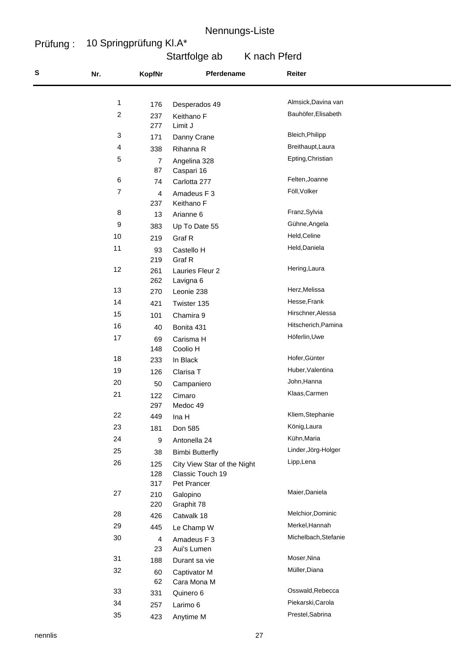#### Prüfung : 10 Springprüfung Kl.A\*

# Startfolge ab K nach Pferd

| S | Nr.              | <b>KopfNr</b>        | Pferdename                  | Reiter                          |  |
|---|------------------|----------------------|-----------------------------|---------------------------------|--|
|   |                  |                      |                             |                                 |  |
|   | 1                | 176                  | Desperados 49               | Almsick, Davina van             |  |
|   | $\boldsymbol{2}$ | 237                  | Keithano F                  | Bauhöfer, Elisabeth             |  |
|   | 3                | 277                  | Limit J                     | Bleich, Philipp                 |  |
|   | 4                | 171                  | Danny Crane                 | Breithaupt, Laura               |  |
|   | 5                | 338                  | Rihanna R                   | Epting, Christian               |  |
|   |                  | $\overline{7}$<br>87 | Angelina 328<br>Caspari 16  |                                 |  |
|   | $\,6\,$          | 74                   | Carlotta 277                | Felten, Joanne                  |  |
|   | $\overline{7}$   | 4                    | Amadeus F 3                 | Föll, Volker                    |  |
|   |                  | 237                  | Keithano F                  |                                 |  |
|   | 8                | 13                   | Arianne 6                   | Franz, Sylvia                   |  |
|   | 9                | 383                  | Up To Date 55               | Gühne, Angela                   |  |
|   | 10               | 219                  | Graf R                      | Held, Celine                    |  |
|   | 11               | 93                   | Castello H                  | Held, Daniela                   |  |
|   |                  | 219                  | Graf R                      |                                 |  |
|   | 12               | 261                  | Lauries Fleur 2             | Hering, Laura                   |  |
|   |                  | 262                  | Lavigna 6                   |                                 |  |
|   | 13               | 270                  | Leonie 238                  | Herz, Melissa                   |  |
|   | 14               | 421                  | Twister 135                 | Hesse, Frank                    |  |
|   | 15               | 101                  | Chamira 9                   | Hirschner, Alessa               |  |
|   | 16               | 40                   | Bonita 431                  | Hitscherich, Pamina             |  |
|   | 17               | 69                   | Carisma H                   | Höferlin, Uwe                   |  |
|   |                  | 148                  | Coolio H                    | Hofer, Günter                   |  |
|   | 18               | 233                  | In Black                    |                                 |  |
|   | 19               | 126                  | Clarisa T                   | Huber, Valentina<br>John, Hanna |  |
|   | 20               | 50                   | Campaniero                  |                                 |  |
|   | 21               | 122<br>297           | Cimaro<br>Medoc 49          | Klaas, Carmen                   |  |
|   | 22               | 449                  |                             | Kliem, Stephanie                |  |
|   | 23               | 181                  | Ina H<br>Don 585            | König, Laura                    |  |
|   | 24               | $\boldsymbol{9}$     | Antonella 24                | Kühn, Maria                     |  |
|   | 25               | 38                   | <b>Bimbi Butterfly</b>      | Linder, Jörg-Holger             |  |
|   | 26               | 125                  | City View Star of the Night | Lipp, Lena                      |  |
|   |                  | 128                  | Classic Touch 19            |                                 |  |
|   |                  | 317                  | Pet Prancer                 |                                 |  |
|   | $27\,$           | 210                  | Galopino                    | Maier, Daniela                  |  |
|   |                  | 220                  | Graphit 78                  |                                 |  |
|   | 28               | 426                  | Catwalk 18                  | Melchior, Dominic               |  |
|   | 29               | 445                  | Le Champ W                  | Merkel, Hannah                  |  |
|   | 30               | $\overline{4}$       | Amadeus F 3                 | Michelbach, Stefanie            |  |
|   |                  | 23                   | Aui's Lumen                 |                                 |  |
|   | 31               | 188                  | Durant sa vie               | Moser, Nina<br>Müller, Diana    |  |
|   | 32               | 60                   | Captivator M                |                                 |  |
|   | 33               | 62                   | Cara Mona M                 | Osswald, Rebecca                |  |
|   | 34               | 331                  | Quinero 6                   | Piekarski, Carola               |  |
|   | 35               | 257                  | Larimo 6                    | Prestel, Sabrina                |  |
|   |                  | 423                  | Anytime M                   |                                 |  |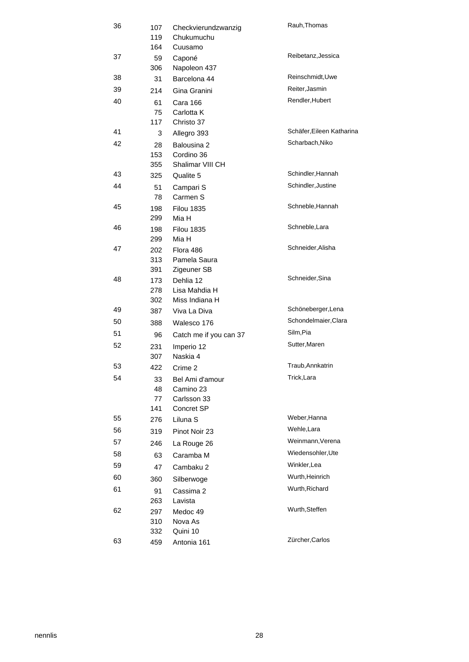| 36 | 107<br>119 | Rauh, Thomas<br>Checkvierundzwanzig<br>Chukumuchu |                           |  |
|----|------------|---------------------------------------------------|---------------------------|--|
|    | 164        | Cuusamo                                           |                           |  |
| 37 | 59<br>306  | Caponé<br>Napoleon 437                            | Reibetanz, Jessica        |  |
| 38 | 31         | Barcelona 44                                      | Reinschmidt, Uwe          |  |
| 39 | 214        | Gina Granini                                      | Reiter, Jasmin            |  |
| 40 | 61         | Cara 166                                          | Rendler, Hubert           |  |
|    | 75         | Carlotta K                                        |                           |  |
|    | 117        | Christo 37                                        |                           |  |
| 41 | 3          | Allegro 393                                       | Schäfer, Eileen Katharina |  |
| 42 | 28         | Balousina 2                                       | Scharbach, Niko           |  |
|    | 153        | Cordino 36                                        |                           |  |
|    | 355        | Shalimar VIII CH                                  |                           |  |
| 43 | 325        | Qualite 5                                         | Schindler, Hannah         |  |
| 44 | 51         | Campari S                                         | Schindler, Justine        |  |
|    | 78         | Carmen S                                          |                           |  |
| 45 | 198        | <b>Filou 1835</b>                                 | Schneble, Hannah          |  |
|    | 299        | Mia H                                             |                           |  |
| 46 | 198        | <b>Filou 1835</b>                                 | Schneble, Lara            |  |
|    | 299        | Mia H                                             |                           |  |
| 47 | 202        | Flora 486                                         | Schneider, Alisha         |  |
|    | 313        | Pamela Saura                                      |                           |  |
|    | 391        | Zigeuner SB                                       |                           |  |
| 48 | 173        | Dehlia 12                                         | Schneider, Sina           |  |
|    | 278        | Lisa Mahdia H                                     |                           |  |
| 49 | 302        | Miss Indiana H                                    | Schöneberger, Lena        |  |
|    | 387        | Viva La Diva                                      | Schondelmaier, Clara      |  |
| 50 | 388        | Walesco 176                                       |                           |  |
| 51 | 96         | Catch me if you can 37                            | Silm, Pia                 |  |
| 52 | 231        | Imperio 12                                        | Sutter, Maren             |  |
|    | 307        | Naskia 4                                          |                           |  |
| 53 | 422        | Crime 2                                           | Traub, Annkatrin          |  |
| 54 | 33         | Bel Ami d'amour                                   | Trick, Lara               |  |
|    | 48         | Camino 23                                         |                           |  |
|    | 77<br>141  | Carlsson 33<br>Concret SP                         |                           |  |
| 55 |            | Liluna <sub>S</sub>                               | Weber, Hanna              |  |
| 56 | 276        |                                                   | Wehle, Lara               |  |
|    | 319        | Pinot Noir 23                                     | Weinmann, Verena          |  |
| 57 | 246        | La Rouge 26                                       |                           |  |
| 58 | 63         | Caramba M                                         | Wiedensohler, Ute         |  |
| 59 | 47         | Cambaku 2                                         | Winkler.Lea               |  |
| 60 | 360        | Silberwoge                                        | Wurth, Heinrich           |  |
| 61 | 91         | Cassima 2                                         | Wurth, Richard            |  |
|    | 263        | Lavista                                           |                           |  |
| 62 | 297        | Medoc 49                                          | Wurth, Steffen            |  |
|    | 310        | Nova As                                           |                           |  |
|    | 332        | Quini 10                                          |                           |  |
| 63 | 459        | Antonia 161                                       | Zürcher, Carlos           |  |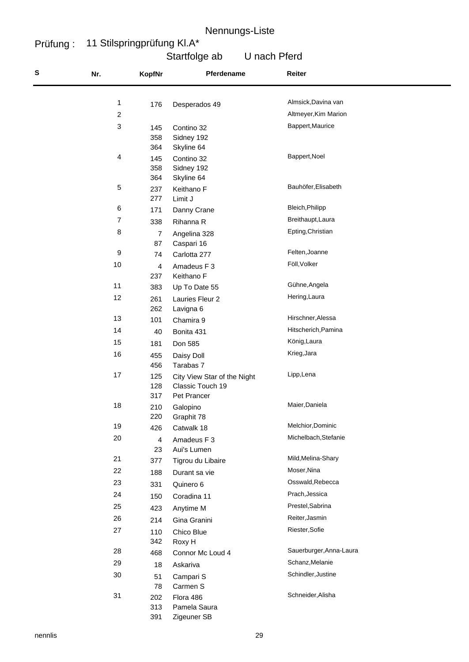#### Prüfung : 11 Stilspringprüfung Kl.A\*

## Startfolge ab U nach Pferd

| S | Nr.                     | <b>KopfNr</b> | Pferdename                  | Reiter                  |  |
|---|-------------------------|---------------|-----------------------------|-------------------------|--|
|   |                         |               |                             | Almsick, Davina van     |  |
|   | 1                       | 176           | Desperados 49               |                         |  |
|   | $\overline{\mathbf{c}}$ |               |                             | Altmeyer, Kim Marion    |  |
|   | 3                       | 145           | Contino 32                  | Bappert, Maurice        |  |
|   |                         | 358           | Sidney 192                  |                         |  |
|   | 4                       | 364           | Skyline 64                  | Bappert, Noel           |  |
|   |                         | 145<br>358    | Contino 32                  |                         |  |
|   |                         | 364           | Sidney 192<br>Skyline 64    |                         |  |
|   | 5                       | 237           | Keithano F                  | Bauhöfer, Elisabeth     |  |
|   |                         | 277           | Limit J                     |                         |  |
|   | 6                       | 171           | Danny Crane                 | Bleich, Philipp         |  |
|   | 7                       | 338           | Rihanna R                   | Breithaupt, Laura       |  |
|   | 8                       | 7             | Angelina 328                | Epting, Christian       |  |
|   |                         | 87            | Caspari 16                  |                         |  |
|   | 9                       | 74            | Carlotta 277                | Felten, Joanne          |  |
|   | 10                      | 4             | Amadeus F 3                 | Föll, Volker            |  |
|   |                         | 237           | Keithano F                  |                         |  |
|   | 11                      | 383           | Up To Date 55               | Gühne, Angela           |  |
|   | 12                      | 261           | Lauries Fleur 2             | Hering, Laura           |  |
|   |                         | 262           | Lavigna 6                   |                         |  |
|   | 13                      | 101           | Chamira 9                   | Hirschner, Alessa       |  |
|   | 14                      | 40            | Bonita 431                  | Hitscherich, Pamina     |  |
|   | 15                      | 181           | Don 585                     | König, Laura            |  |
|   | 16                      |               |                             | Krieg, Jara             |  |
|   |                         | 455<br>456    | Daisy Doll<br>Tarabas 7     |                         |  |
|   | 17                      | 125           | City View Star of the Night | Lipp, Lena              |  |
|   |                         | 128           | Classic Touch 19            |                         |  |
|   |                         | 317           | Pet Prancer                 |                         |  |
|   | 18                      | 210           | Galopino                    | Maier, Daniela          |  |
|   |                         | 220           | Graphit 78                  | Melchior, Dominic       |  |
|   | 19                      | 426           | Catwalk 18                  |                         |  |
|   | 20                      | 4             | Amadeus F 3                 | Michelbach, Stefanie    |  |
|   | 21                      | 23            | Aui's Lumen                 | Mild, Melina-Shary      |  |
|   |                         | 377           | Tigrou du Libaire           |                         |  |
|   | 22                      | 188           | Durant sa vie               | Moser, Nina             |  |
|   | 23                      | 331           | Quinero 6                   | Osswald, Rebecca        |  |
|   | 24                      | 150           | Coradina 11                 | Prach, Jessica          |  |
|   | 25                      | 423           | Anytime M                   | Prestel, Sabrina        |  |
|   | 26                      | 214           | Gina Granini                | Reiter, Jasmin          |  |
|   | 27                      | 110           | Chico Blue                  | Riester, Sofie          |  |
|   |                         | 342           | Roxy H                      |                         |  |
|   | 28                      | 468           | Connor Mc Loud 4            | Sauerburger, Anna-Laura |  |
|   | 29                      | 18            | Askariva                    | Schanz, Melanie         |  |
|   | 30                      | 51            | Campari S                   | Schindler, Justine      |  |
|   |                         | 78            | Carmen S                    |                         |  |
|   | 31                      | 202           | Flora 486                   | Schneider, Alisha       |  |
|   |                         | 313           | Pamela Saura                |                         |  |
|   |                         | 391           | Zigeuner SB                 |                         |  |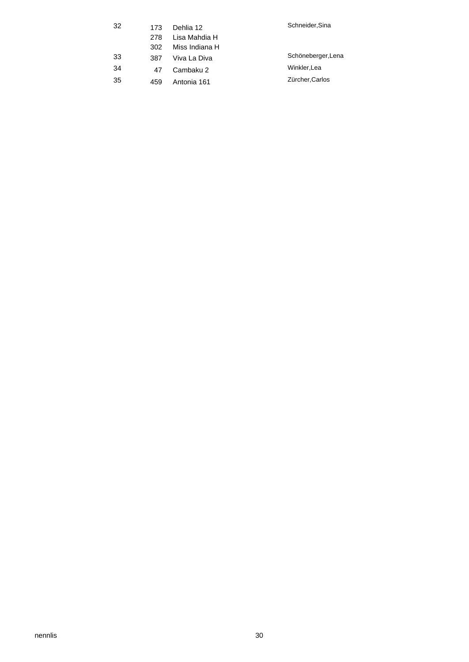| -32 | 173 | Dehlia 12      | Schneider, Sina    |
|-----|-----|----------------|--------------------|
|     | 278 | Lisa Mahdia H  |                    |
|     | 302 | Miss Indiana H |                    |
| -33 | 387 | Viva La Diva   | Schöneberger, Lena |
| 34  | 47  | Cambaku 2      | Winkler.Lea        |
| 35  | 459 | Antonia 161    | Zürcher, Carlos    |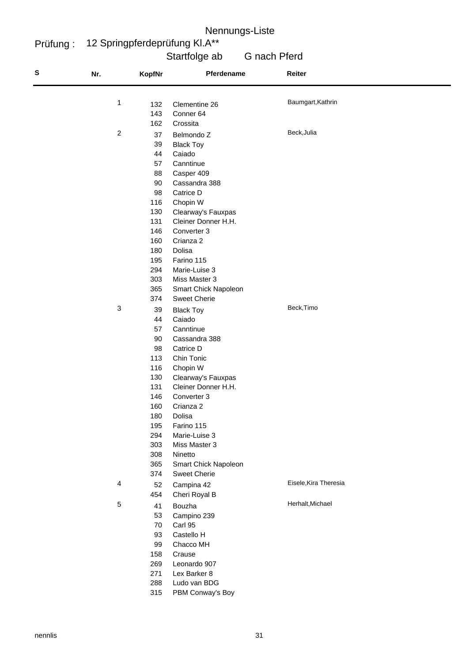#### Prüfung : 12 Springpferdeprüfung Kl.A\*\*

## Startfolge ab G nach Pferd

| s | Nr.                     | KopfNr | Pferdename           | Reiter                |
|---|-------------------------|--------|----------------------|-----------------------|
|   | 1                       | 132    | Clementine 26        | Baumgart, Kathrin     |
|   |                         | 143    | Conner 64            |                       |
|   |                         | 162    | Crossita             |                       |
|   | $\overline{\mathbf{c}}$ | 37     | Belmondo Z           | Beck, Julia           |
|   |                         | 39     | <b>Black Toy</b>     |                       |
|   |                         | 44     | Caiado               |                       |
|   |                         | 57     | Canntinue            |                       |
|   |                         | 88     | Casper 409           |                       |
|   |                         | 90     | Cassandra 388        |                       |
|   |                         | 98     | Catrice D            |                       |
|   |                         | 116    | Chopin W             |                       |
|   |                         | 130    | Clearway's Fauxpas   |                       |
|   |                         | 131    | Cleiner Donner H.H.  |                       |
|   |                         | 146    | Converter 3          |                       |
|   |                         | 160    | Crianza 2            |                       |
|   |                         | 180    | Dolisa               |                       |
|   |                         | 195    | Farino 115           |                       |
|   |                         | 294    | Marie-Luise 3        |                       |
|   |                         | 303    | Miss Master 3        |                       |
|   |                         | 365    | Smart Chick Napoleon |                       |
|   |                         | 374    | <b>Sweet Cherie</b>  |                       |
|   | 3                       | 39     | <b>Black Toy</b>     | Beck, Timo            |
|   |                         | 44     | Caiado               |                       |
|   |                         | 57     | Canntinue            |                       |
|   |                         | 90     | Cassandra 388        |                       |
|   |                         | 98     | Catrice D            |                       |
|   |                         | 113    | Chin Tonic           |                       |
|   |                         | 116    | Chopin W             |                       |
|   |                         | 130    | Clearway's Fauxpas   |                       |
|   |                         | 131    | Cleiner Donner H.H.  |                       |
|   |                         | 146    | Converter 3          |                       |
|   |                         | 160    | Crianza 2            |                       |
|   |                         | 180    | Dolisa               |                       |
|   |                         | 195    | Farino 115           |                       |
|   |                         | 294    | Marie-Luise 3        |                       |
|   |                         | 303    | Miss Master 3        |                       |
|   |                         | 308    | Ninetto              |                       |
|   |                         | 365    | Smart Chick Napoleon |                       |
|   |                         | 374    | <b>Sweet Cherie</b>  |                       |
|   | 4                       | 52     | Campina 42           | Eisele, Kira Theresia |
|   |                         | 454    | Cheri Royal B        |                       |
|   | 5                       | 41     | Bouzha               | Herhalt, Michael      |
|   |                         | 53     | Campino 239          |                       |
|   |                         | 70     | Carl 95              |                       |
|   |                         | 93     | Castello H           |                       |
|   |                         | 99     | Chacco MH            |                       |
|   |                         | 158    | Crause               |                       |
|   |                         | 269    | Leonardo 907         |                       |
|   |                         | 271    | Lex Barker 8         |                       |
|   |                         | 288    | Ludo van BDG         |                       |
|   |                         | 315    | PBM Conway's Boy     |                       |
|   |                         |        |                      |                       |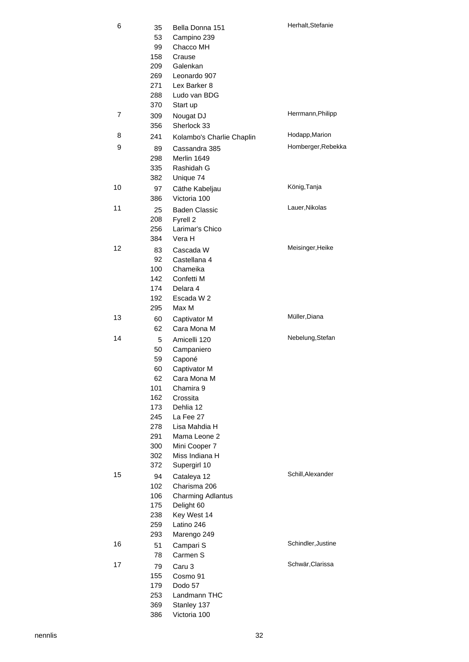| 6  | 35<br>53<br>99 | Bella Donna 151<br>Campino 239<br>Chacco MH | Herhalt, Stefanie  |
|----|----------------|---------------------------------------------|--------------------|
|    | 158            | Crause                                      |                    |
|    | 209            | Galenkan                                    |                    |
|    | 269            | Leonardo 907                                |                    |
|    | 271            | Lex Barker 8                                |                    |
|    | 288            | Ludo van BDG                                |                    |
|    | 370            | Start up                                    |                    |
| 7  | 309            | Nougat DJ                                   | Herrmann, Philipp  |
|    | 356            | Sherlock 33                                 |                    |
| 8  | 241            | Kolambo's Charlie Chaplin                   | Hodapp, Marion     |
| 9  | 89             | Cassandra 385                               | Homberger, Rebekka |
|    | 298            | Merlin 1649                                 |                    |
|    | 335            | Rashidah G                                  |                    |
|    | 382            | Unique 74                                   |                    |
| 10 | 97             | Cäthe Kabeljau                              | König, Tanja       |
|    | 386            | Victoria 100                                |                    |
| 11 | 25             | <b>Baden Classic</b>                        | Lauer, Nikolas     |
|    | 208            | Fyrell 2                                    |                    |
|    | 256            | Larimar's Chico                             |                    |
|    | 384            | Vera H                                      |                    |
| 12 | 83             | Cascada W                                   | Meisinger, Heike   |
|    | 92             | Castellana 4                                |                    |
|    | 100            | Chameika                                    |                    |
|    | 142            | Confetti M                                  |                    |
|    | 174            | Delara 4                                    |                    |
|    | 192<br>295     | Escada W 2<br>Max M                         |                    |
| 13 |                |                                             | Müller, Diana      |
|    | 60<br>62       | Captivator M<br>Cara Mona M                 |                    |
| 14 |                | Amicelli 120                                | Nebelung, Stefan   |
|    | 5<br>50        | Campaniero                                  |                    |
|    | 59             | Caponé                                      |                    |
|    | 60             | Captivator M                                |                    |
|    | 62             | Cara Mona M                                 |                    |
|    | 101            | Chamira 9                                   |                    |
|    | 162            | Crossita                                    |                    |
|    | 173            | Dehlia 12                                   |                    |
|    | 245            | La Fee 27                                   |                    |
|    | 278            | Lisa Mahdia H                               |                    |
|    | 291            | Mama Leone 2                                |                    |
|    | 300            | Mini Cooper 7                               |                    |
|    | 302            | Miss Indiana H                              |                    |
|    | 372            | Supergirl 10                                | Schill, Alexander  |
| 15 | 94             | Cataleya 12                                 |                    |
|    | 102            | Charisma 206                                |                    |
|    | 106<br>175     | <b>Charming Adlantus</b>                    |                    |
|    | 238            | Delight 60<br>Key West 14                   |                    |
|    | 259            | Latino 246                                  |                    |
|    | 293            | Marengo 249                                 |                    |
| 16 | 51             | Campari S                                   | Schindler, Justine |
|    | 78             | Carmen S                                    |                    |
| 17 | 79             | Caru 3                                      | Schwär, Clarissa   |
|    | 155            | Cosmo 91                                    |                    |
|    | 179            | Dodo 57                                     |                    |
|    | 253            | Landmann THC                                |                    |
|    | 369            | Stanley 137                                 |                    |
|    | 386            | Victoria 100                                |                    |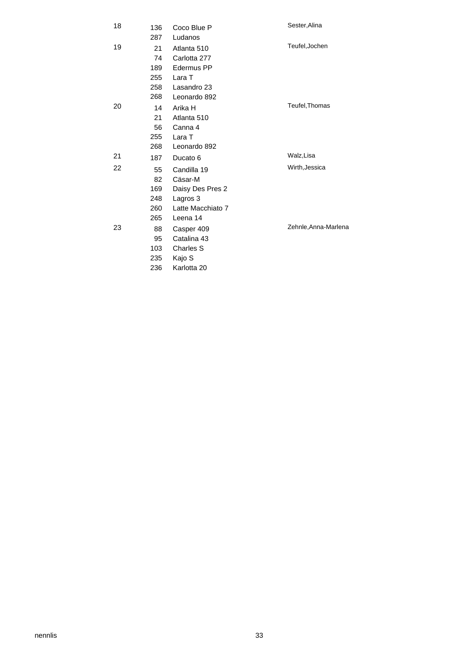| 18 | 136 | Coco Blue P       | Sester, Alina        |
|----|-----|-------------------|----------------------|
|    | 287 | Ludanos           |                      |
| 19 | 21  | Atlanta 510       | Teufel, Jochen       |
|    | 74  | Carlotta 277      |                      |
|    | 189 | Edermus PP        |                      |
|    | 255 | Lara T            |                      |
|    | 258 | Lasandro 23       |                      |
|    | 268 | Leonardo 892      |                      |
| 20 | 14  | Arika H           | Teufel, Thomas       |
|    | 21  | Atlanta 510       |                      |
|    | 56  | Canna 4           |                      |
|    | 255 | Lara T            |                      |
|    | 268 | Leonardo 892      |                      |
| 21 | 187 | Ducato 6          | Walz, Lisa           |
| 22 | 55  | Candilla 19       | Wirth, Jessica       |
|    | 82  | Cäsar-M           |                      |
|    | 169 | Daisy Des Pres 2  |                      |
|    | 248 | Lagros 3          |                      |
|    | 260 | Latte Macchiato 7 |                      |
|    | 265 | Leena 14          |                      |
| 23 | 88  | Casper 409        | Zehnle, Anna-Marlena |
|    | 95  | Catalina 43       |                      |
|    | 103 | <b>Charles S</b>  |                      |
|    | 235 | Kajo S            |                      |
|    | 236 | Karlotta 20       |                      |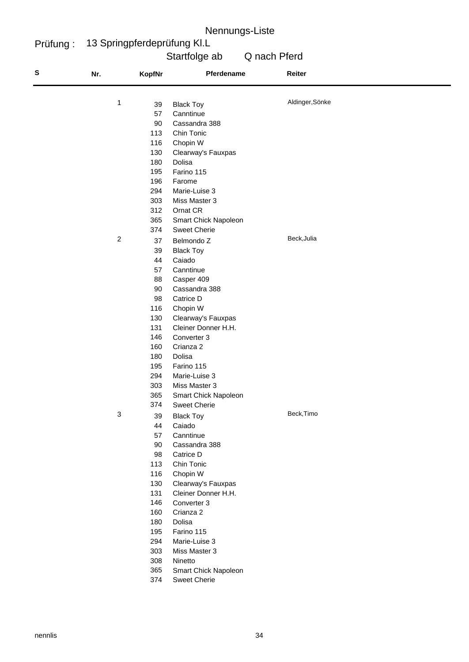Prüfung : 13 Springpferdeprüfung Kl.L

# Startfolge ab Q nach Pferd

| S | Nr.            | <b>KopfNr</b> | Pferdename                  | Reiter          |
|---|----------------|---------------|-----------------------------|-----------------|
|   |                |               |                             | Aldinger, Sönke |
|   | 1              | 39            | <b>Black Toy</b>            |                 |
|   |                | 57            | Canntinue                   |                 |
|   |                | 90            | Cassandra 388               |                 |
|   |                | 113           | Chin Tonic                  |                 |
|   |                | 116           | Chopin W                    |                 |
|   |                | 130           | Clearway's Fauxpas          |                 |
|   |                | 180           | Dolisa                      |                 |
|   |                | 195           | Farino 115                  |                 |
|   |                | 196           | Farome                      |                 |
|   |                | 294           | Marie-Luise 3               |                 |
|   |                | 303           | Miss Master 3               |                 |
|   |                | 312           | Ornat CR                    |                 |
|   |                | 365           | Smart Chick Napoleon        |                 |
|   |                | 374           | <b>Sweet Cherie</b>         |                 |
|   | $\overline{c}$ | 37            | Belmondo Z                  | Beck, Julia     |
|   |                | 39            | <b>Black Toy</b>            |                 |
|   |                | 44            | Caiado                      |                 |
|   |                | 57            | Canntinue                   |                 |
|   |                | 88            | Casper 409                  |                 |
|   |                | 90            | Cassandra 388               |                 |
|   |                | 98            | Catrice D                   |                 |
|   |                | 116           | Chopin W                    |                 |
|   |                | 130           | Clearway's Fauxpas          |                 |
|   |                | 131           | Cleiner Donner H.H.         |                 |
|   |                | 146           | Converter 3                 |                 |
|   |                | 160           | Crianza 2                   |                 |
|   |                | 180           | Dolisa                      |                 |
|   |                | 195           | Farino 115                  |                 |
|   |                | 294           | Marie-Luise 3               |                 |
|   |                | 303           | Miss Master 3               |                 |
|   |                | 365           | Smart Chick Napoleon        |                 |
|   |                | 374           | <b>Sweet Cherie</b>         |                 |
|   | 3              | 39            | <b>Black Toy</b>            | Beck, Timo      |
|   |                | 44            | Caiado                      |                 |
|   |                | 57            | Canntinue                   |                 |
|   |                | 90            | Cassandra 388               |                 |
|   |                | 98            | Catrice D                   |                 |
|   |                | 113           | Chin Tonic                  |                 |
|   |                | 116           | Chopin W                    |                 |
|   |                | 130           | Clearway's Fauxpas          |                 |
|   |                | 131           | Cleiner Donner H.H.         |                 |
|   |                | 146           | Converter 3                 |                 |
|   |                | 160           | Crianza 2                   |                 |
|   |                | 180           | Dolisa                      |                 |
|   |                | 195           | Farino 115                  |                 |
|   |                | 294           | Marie-Luise 3               |                 |
|   |                | 303           | Miss Master 3               |                 |
|   |                | 308           | Ninetto                     |                 |
|   |                | 365           | <b>Smart Chick Napoleon</b> |                 |
|   |                | 374           | <b>Sweet Cherie</b>         |                 |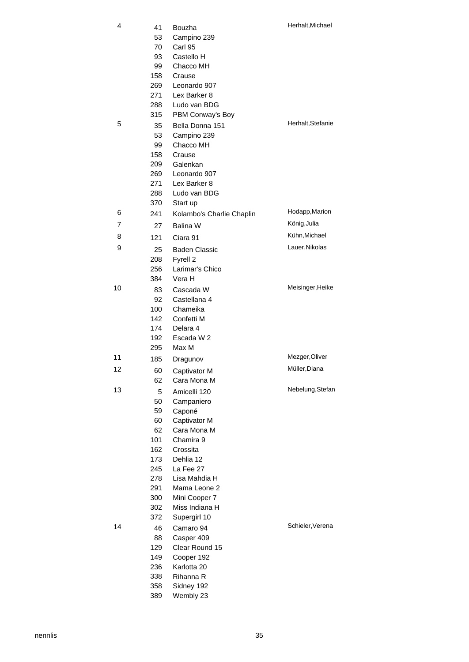| 4  | 41  | Bouzha                    | Herhalt, Michael  |
|----|-----|---------------------------|-------------------|
|    | 53  | Campino 239               |                   |
|    | 70  | Carl 95                   |                   |
|    | 93  | Castello H                |                   |
|    | 99  | Chacco MH                 |                   |
|    | 158 | Crause                    |                   |
|    | 269 | Leonardo 907              |                   |
|    | 271 | Lex Barker 8              |                   |
|    | 288 | Ludo van BDG              |                   |
|    | 315 | PBM Conway's Boy          |                   |
| 5  |     |                           | Herhalt, Stefanie |
|    | 35  | Bella Donna 151           |                   |
|    | 53  | Campino 239               |                   |
|    | 99  | Chacco MH                 |                   |
|    | 158 | Crause                    |                   |
|    | 209 | Galenkan                  |                   |
|    | 269 | Leonardo 907              |                   |
|    | 271 | Lex Barker 8              |                   |
|    | 288 | Ludo van BDG              |                   |
|    | 370 | Start up                  | Hodapp, Marion    |
| 6  | 241 | Kolambo's Charlie Chaplin |                   |
| 7  | 27  | Balina W                  | König, Julia      |
| 8  | 121 | Ciara 91                  | Kühn, Michael     |
| 9  | 25  | <b>Baden Classic</b>      | Lauer, Nikolas    |
|    | 208 | Fyrell 2                  |                   |
|    | 256 | Larimar's Chico           |                   |
|    | 384 | Vera H                    |                   |
| 10 | 83  | Cascada W                 | Meisinger, Heike  |
|    | 92  | Castellana 4              |                   |
|    | 100 | Chameika                  |                   |
|    | 142 | Confetti M                |                   |
|    | 174 | Delara 4                  |                   |
|    | 192 | Escada W 2                |                   |
|    | 295 | Max M                     |                   |
| 11 | 185 | Dragunov                  | Mezger, Oliver    |
| 12 | 60  | Captivator M              | Müller, Diana     |
|    | 62  | Cara Mona M               |                   |
| 13 |     |                           | Nebelung, Stefan  |
|    | 5   | Amicelli 120              |                   |
|    | 50  | Campaniero                |                   |
|    | 59  | Caponé                    |                   |
|    | 60  | Captivator M              |                   |
|    | 62  | Cara Mona M               |                   |
|    | 101 | Chamira 9                 |                   |
|    | 162 | Crossita                  |                   |
|    | 173 | Dehlia 12                 |                   |
|    | 245 | La Fee 27                 |                   |
|    | 278 | Lisa Mahdia H             |                   |
|    | 291 | Mama Leone 2              |                   |
|    | 300 | Mini Cooper 7             |                   |
|    | 302 | Miss Indiana H            |                   |
|    | 372 | Supergirl 10              |                   |
| 14 | 46  | Camaro 94                 | Schieler, Verena  |
|    | 88  | Casper 409                |                   |
|    | 129 | Clear Round 15            |                   |
|    | 149 | Cooper 192                |                   |
|    | 236 | Karlotta 20               |                   |
|    | 338 | Rihanna R                 |                   |
|    | 358 | Sidney 192                |                   |
|    | 389 | Wembly 23                 |                   |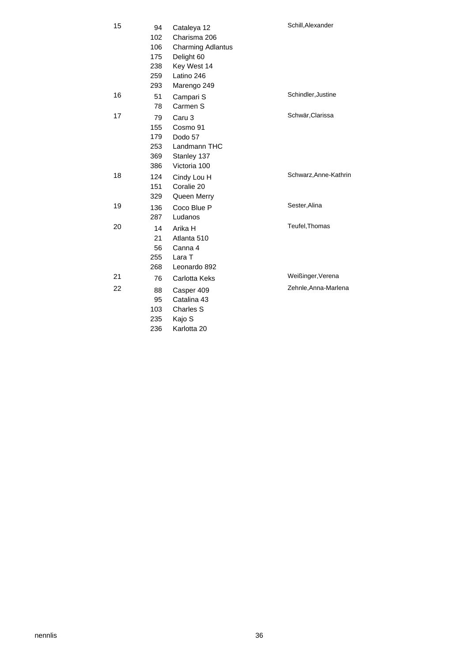| 15 | 94  | Cataleya 12              | Schill, Alexander     |
|----|-----|--------------------------|-----------------------|
|    | 102 | Charisma 206             |                       |
|    | 106 | <b>Charming Adlantus</b> |                       |
|    | 175 | Delight 60               |                       |
|    | 238 | Key West 14              |                       |
|    | 259 | Latino 246               |                       |
|    | 293 | Marengo 249              |                       |
| 16 | 51  | Campari S                | Schindler, Justine    |
|    | 78  | Carmen S                 |                       |
| 17 | 79  | Caru <sub>3</sub>        | Schwär, Clarissa      |
|    | 155 | Cosmo 91                 |                       |
|    | 179 | Dodo 57                  |                       |
|    | 253 | Landmann THC             |                       |
|    | 369 | Stanley 137              |                       |
|    | 386 | Victoria 100             |                       |
| 18 | 124 | Cindy Lou H              | Schwarz, Anne-Kathrin |
|    | 151 | Coralie 20               |                       |
|    | 329 | Queen Merry              |                       |
| 19 | 136 | Coco Blue P              | Sester, Alina         |
|    | 287 | Ludanos                  |                       |
| 20 | 14  | Arika H                  | Teufel, Thomas        |
|    | 21  | Atlanta 510              |                       |
|    | 56  | Canna 4                  |                       |
|    | 255 | Lara T                   |                       |
|    | 268 | Leonardo 892             |                       |
| 21 | 76  | Carlotta Keks            | Weißinger, Verena     |
| 22 | 88  | Casper 409               | Zehnle, Anna-Marlena  |
|    | 95  | Catalina 43              |                       |
|    | 103 | Charles S                |                       |
|    | 235 | Kajo S                   |                       |
|    | 236 | Karlotta 20              |                       |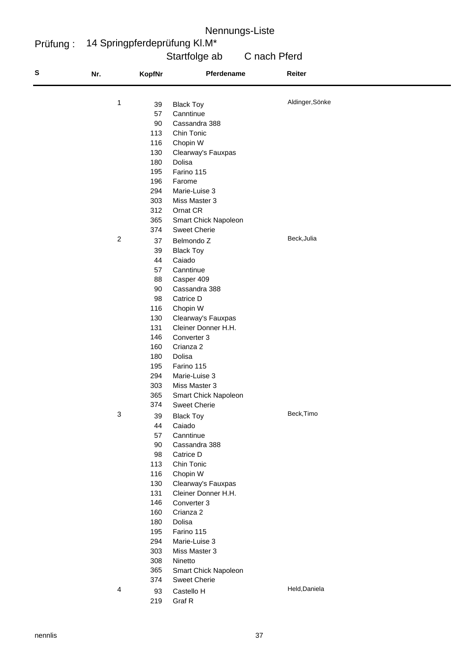#### Prüfung : 14 Springpferdeprüfung Kl.M\*

## Startfolge ab C nach Pferd

| S | Nr.              | <b>KopfNr</b> | Pferdename                                | Reiter          |
|---|------------------|---------------|-------------------------------------------|-----------------|
|   | $\mathbf{1}$     | 39            |                                           | Aldinger, Sönke |
|   |                  | 57            | <b>Black Toy</b><br>Canntinue             |                 |
|   |                  | 90            | Cassandra 388                             |                 |
|   |                  | 113           | Chin Tonic                                |                 |
|   |                  | 116           |                                           |                 |
|   |                  | 130           | Chopin W                                  |                 |
|   |                  | 180           | Clearway's Fauxpas<br>Dolisa              |                 |
|   |                  | 195           | Farino 115                                |                 |
|   |                  | 196           | Farome                                    |                 |
|   |                  | 294           | Marie-Luise 3                             |                 |
|   |                  | 303           | Miss Master 3                             |                 |
|   |                  | 312           | Ornat CR                                  |                 |
|   |                  | 365           | Smart Chick Napoleon                      |                 |
|   |                  | 374           | <b>Sweet Cherie</b>                       |                 |
|   | $\boldsymbol{2}$ |               |                                           | Beck, Julia     |
|   |                  | 37            | Belmondo Z                                |                 |
|   |                  | 39<br>44      | <b>Black Toy</b>                          |                 |
|   |                  | 57            | Caiado                                    |                 |
|   |                  | 88            | Canntinue                                 |                 |
|   |                  | 90            | Casper 409                                |                 |
|   |                  |               | Cassandra 388                             |                 |
|   |                  | 98<br>116     | Catrice D                                 |                 |
|   |                  | 130           | Chopin W                                  |                 |
|   |                  | 131           | Clearway's Fauxpas<br>Cleiner Donner H.H. |                 |
|   |                  | 146           | Converter 3                               |                 |
|   |                  | 160           | Crianza 2                                 |                 |
|   |                  | 180           | Dolisa                                    |                 |
|   |                  | 195           | Farino 115                                |                 |
|   |                  | 294           | Marie-Luise 3                             |                 |
|   |                  | 303           | Miss Master 3                             |                 |
|   |                  | 365           | Smart Chick Napoleon                      |                 |
|   |                  | 374           | <b>Sweet Cherie</b>                       |                 |
|   | $\sqrt{3}$       | 39            | <b>Black Toy</b>                          | Beck, Timo      |
|   |                  | 44            | Caiado                                    |                 |
|   |                  | 57            | Canntinue                                 |                 |
|   |                  | 90            | Cassandra 388                             |                 |
|   |                  | 98            | Catrice D                                 |                 |
|   |                  | 113           | Chin Tonic                                |                 |
|   |                  | 116           | Chopin W                                  |                 |
|   |                  | 130           | Clearway's Fauxpas                        |                 |
|   |                  | 131           | Cleiner Donner H.H.                       |                 |
|   |                  | 146           | Converter 3                               |                 |
|   |                  | 160           | Crianza 2                                 |                 |
|   |                  | 180           | Dolisa                                    |                 |
|   |                  | 195           | Farino 115                                |                 |
|   |                  | 294           | Marie-Luise 3                             |                 |
|   |                  | 303           | Miss Master 3                             |                 |
|   |                  | 308           | Ninetto                                   |                 |
|   |                  | 365           | Smart Chick Napoleon                      |                 |
|   |                  | 374           | <b>Sweet Cherie</b>                       |                 |
|   | $\overline{4}$   | 93            | Castello H                                | Held, Daniela   |
|   |                  | 219           | Graf R                                    |                 |
|   |                  |               |                                           |                 |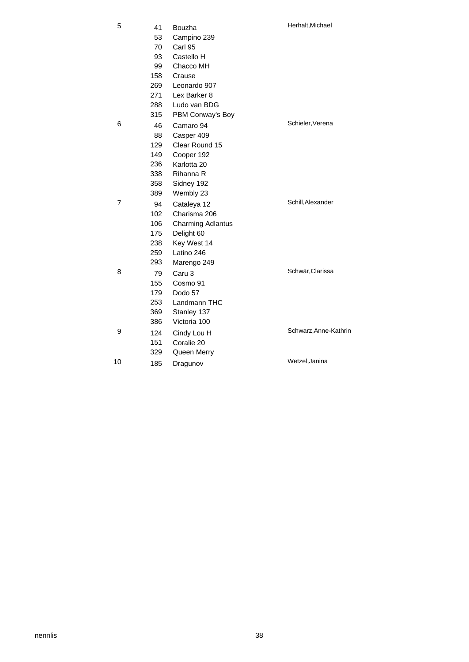| 41  | Bouzha                   | Herhalt, Michael      |
|-----|--------------------------|-----------------------|
| 53  | Campino 239              |                       |
| 70  | Carl 95                  |                       |
| 93  | Castello H               |                       |
| 99  | Chacco MH                |                       |
| 158 | Crause                   |                       |
| 269 | Leonardo 907             |                       |
| 271 | Lex Barker 8             |                       |
| 288 | Ludo van BDG             |                       |
| 315 | PBM Conway's Boy         |                       |
| 46  | Camaro 94                | Schieler, Verena      |
| 88  | Casper 409               |                       |
| 129 | Clear Round 15           |                       |
| 149 | Cooper 192               |                       |
| 236 | Karlotta 20              |                       |
| 338 | Rihanna R                |                       |
| 358 | Sidney 192               |                       |
| 389 | Wembly 23                |                       |
| 94  | Cataleya 12              | Schill, Alexander     |
| 102 | Charisma 206             |                       |
| 106 | <b>Charming Adlantus</b> |                       |
| 175 | Delight 60               |                       |
| 238 | Key West 14              |                       |
| 259 | Latino 246               |                       |
| 293 | Marengo 249              |                       |
| 79  | Caru <sub>3</sub>        | Schwär, Clarissa      |
| 155 | Cosmo 91                 |                       |
| 179 | Dodo 57                  |                       |
| 253 | Landmann THC             |                       |
| 369 | Stanley 137              |                       |
| 386 | Victoria 100             |                       |
| 124 |                          | Schwarz, Anne-Kathrin |
| 151 | Coralie 20               |                       |
| 329 | Queen Merry              |                       |
| 185 | Dragunov                 | Wetzel, Janina        |
|     |                          | Cindy Lou H           |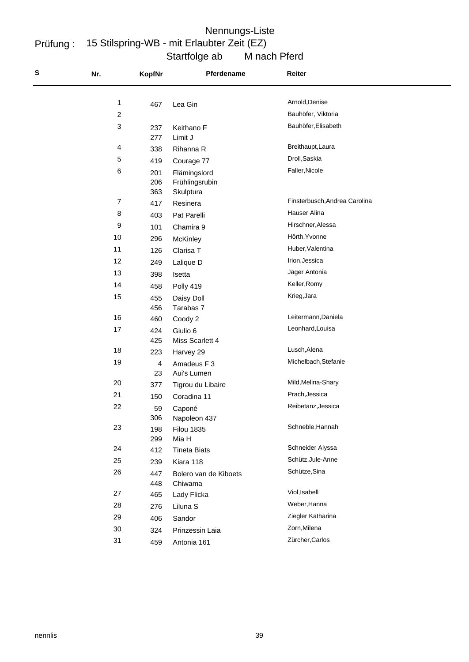#### Startfolge ab M nach Pferd Prüfung : 15 Stilspring-WB - mit Erlaubter Zeit (EZ) Nennungs-Liste

| S | Nr.            | <b>KopfNr</b> | Pferdename                 | Reiter                        |
|---|----------------|---------------|----------------------------|-------------------------------|
|   |                |               |                            | Arnold, Denise                |
|   | 1              | 467           | Lea Gin                    | Bauhöfer, Viktoria            |
|   | $\overline{c}$ |               |                            | Bauhöfer, Elisabeth           |
|   | 3              | 237<br>277    | Keithano F<br>Limit J      |                               |
|   | 4              | 338           | Rihanna R                  | Breithaupt, Laura             |
|   | 5              | 419           | Courage 77                 | Droll, Saskia                 |
|   | 6              | 201           | Flämingslord               | Faller, Nicole                |
|   |                | 206           | Frühlingsrubin             |                               |
|   |                | 363           | Skulptura                  |                               |
|   | 7              | 417           | Resinera                   | Finsterbusch, Andrea Carolina |
|   | 8              | 403           | Pat Parelli                | Hauser Alina                  |
|   | 9              | 101           | Chamira 9                  | Hirschner, Alessa             |
|   | 10             | 296           | <b>McKinley</b>            | Hörth, Yvonne                 |
|   | 11             | 126           | Clarisa T                  | Huber, Valentina              |
|   | 12             | 249           | Lalique D                  | Irion, Jessica                |
|   | 13             | 398           | Isetta                     | Jäger Antonia                 |
|   | 14             | 458           | Polly 419                  | Keller, Romy                  |
|   | 15             | 455           | Daisy Doll                 | Krieg, Jara                   |
|   |                | 456           | Tarabas 7                  |                               |
|   | 16             | 460           | Coody 2                    | Leitermann, Daniela           |
|   | 17             | 424           | Giulio 6                   | Leonhard, Louisa              |
|   |                | 425           | Miss Scarlett 4            | Lusch, Alena                  |
|   | 18             | 223           | Harvey 29                  | Michelbach, Stefanie          |
|   | 19             | 4<br>23       | Amadeus F 3<br>Aui's Lumen |                               |
|   | 20             | 377           | Tigrou du Libaire          | Mild, Melina-Shary            |
|   | 21             | 150           | Coradina 11                | Prach, Jessica                |
|   | 22             | 59            | Caponé                     | Reibetanz, Jessica            |
|   |                | 306           | Napoleon 437               |                               |
|   | 23             | 198           | <b>Filou 1835</b>          | Schneble, Hannah              |
|   |                | 299           | Mia H                      |                               |
|   | 24             | 412           | <b>Tineta Biats</b>        | Schneider Alyssa              |
|   | 25             | 239           | Kiara 118                  | Schütz, Jule-Anne             |
|   | 26             | 447           | Bolero van de Kiboets      | Schütze, Sina                 |
|   |                | 448           | Chiwama                    |                               |
|   | 27             | 465           | Lady Flicka                | Viol, Isabell                 |
|   | 28             | 276           | Liluna S                   | Weber, Hanna                  |
|   | 29             | 406           | Sandor                     | Ziegler Katharina             |
|   | 30             | 324           | Prinzessin Laia            | Zorn, Milena                  |
|   | 31             | 459           | Antonia 161                | Zürcher, Carlos               |
|   |                |               |                            |                               |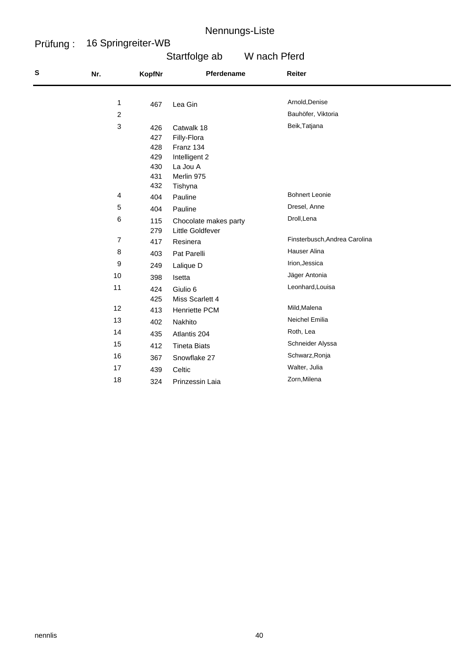#### Prüfung : 16 Springreiter-WB

# Startfolge ab W nach Pferd

| ${\bf S}$ | Nr. | <b>KopfNr</b> | Pferdename            | Reiter                        |
|-----------|-----|---------------|-----------------------|-------------------------------|
|           |     |               |                       |                               |
|           | 1   | 467           | Lea Gin               | Arnold, Denise                |
|           | 2   |               |                       | Bauhöfer, Viktoria            |
|           | 3   | 426           | Catwalk 18            | Beik, Tatjana                 |
|           |     | 427           | Filly-Flora           |                               |
|           |     | 428           | Franz 134             |                               |
|           |     | 429           | Intelligent 2         |                               |
|           |     | 430           | La Jou A              |                               |
|           |     | 431           | Merlin 975            |                               |
|           |     | 432           | Tishyna               |                               |
|           | 4   | 404           | Pauline               | <b>Bohnert Leonie</b>         |
|           | 5   | 404           | Pauline               | Dresel, Anne                  |
|           | 6   | 115           | Chocolate makes party | Droll, Lena                   |
|           |     | 279           | Little Goldfever      |                               |
|           | 7   | 417           | Resinera              | Finsterbusch, Andrea Carolina |
|           | 8   | 403           | Pat Parelli           | Hauser Alina                  |
|           | 9   | 249           | Lalique D             | Irion, Jessica                |
|           | 10  | 398           | Isetta                | Jäger Antonia                 |
|           | 11  | 424           | Giulio 6              | Leonhard, Louisa              |
|           |     | 425           | Miss Scarlett 4       |                               |
|           | 12  | 413           | <b>Henriette PCM</b>  | Mild, Malena                  |
|           | 13  | 402           | Nakhito               | <b>Neichel Emilia</b>         |
|           | 14  | 435           | Atlantis 204          | Roth, Lea                     |
|           | 15  | 412           | <b>Tineta Biats</b>   | Schneider Alyssa              |
|           | 16  | 367           | Snowflake 27          | Schwarz, Ronja                |
|           | 17  | 439           | Celtic                | Walter, Julia                 |
|           | 18  | 324           | Prinzessin Laia       | Zorn, Milena                  |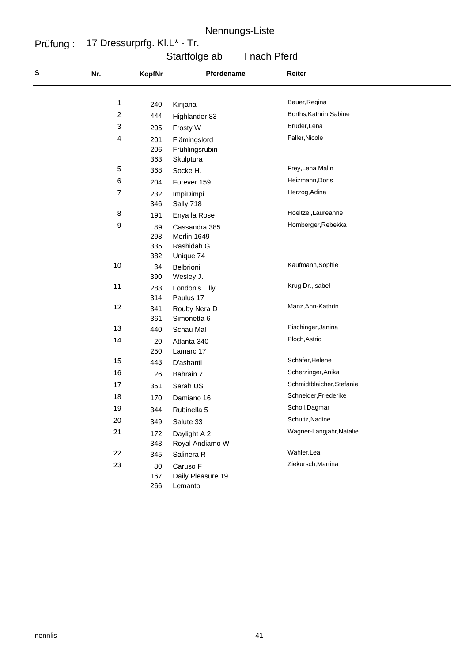#### Prüfung : 17 Dressurprfg. Kl.L\* - Tr.

# Startfolge ab I nach Pferd

| S | Nr.                     | <b>KopfNr</b>           | Pferdename                                              | Reiter                    |
|---|-------------------------|-------------------------|---------------------------------------------------------|---------------------------|
|   |                         |                         |                                                         | Bauer, Regina             |
|   | 1                       | 240                     | Kirijana                                                | Borths, Kathrin Sabine    |
|   | $\overline{\mathbf{c}}$ | 444                     | Highlander 83                                           |                           |
|   | 3                       | 205                     | Frosty W                                                | Bruder, Lena              |
|   | 4                       | 201<br>206<br>363       | Flämingslord<br>Frühlingsrubin<br>Skulptura             | Faller, Nicole            |
|   | 5                       | 368                     | Socke H.                                                | Frey, Lena Malin          |
|   | 6                       | 204                     | Forever 159                                             | Heizmann, Doris           |
|   | 7                       | 232<br>346              | ImpiDimpi<br>Sally 718                                  | Herzog, Adina             |
|   | 8                       | 191                     | Enya la Rose                                            | Hoeltzel, Laureanne       |
|   | 9                       | 89<br>298<br>335<br>382 | Cassandra 385<br>Merlin 1649<br>Rashidah G<br>Unique 74 | Homberger, Rebekka        |
|   | 10                      | 34<br>390               | Belbrioni<br>Wesley J.                                  | Kaufmann, Sophie          |
|   | 11                      | 283<br>314              | London's Lilly<br>Paulus 17                             | Krug Dr., Isabel          |
|   | 12                      | 341<br>361              | Rouby Nera D<br>Simonetta 6                             | Manz, Ann-Kathrin         |
|   | 13                      | 440                     | Schau Mal                                               | Pischinger, Janina        |
|   | 14                      | 20<br>250               | Atlanta 340<br>Lamarc 17                                | Ploch, Astrid             |
|   | 15                      | 443                     | D'ashanti                                               | Schäfer, Helene           |
|   | 16                      | 26                      | Bahrain 7                                               | Scherzinger, Anika        |
|   | 17                      | 351                     | Sarah US                                                | Schmidtblaicher, Stefanie |
|   | 18                      | 170                     | Damiano 16                                              | Schneider, Friederike     |
|   | 19                      | 344                     | Rubinella 5                                             | Scholl, Dagmar            |
|   | 20                      | 349                     | Salute 33                                               | Schultz, Nadine           |
|   | 21                      | 172<br>343              | Daylight A 2<br>Royal Andiamo W                         | Wagner-Langjahr, Natalie  |
|   | 22                      | 345                     | Salinera R                                              | Wahler, Lea               |
|   | 23                      | 80<br>167<br>266        | Caruso F<br>Daily Pleasure 19<br>Lemanto                | Ziekursch, Martina        |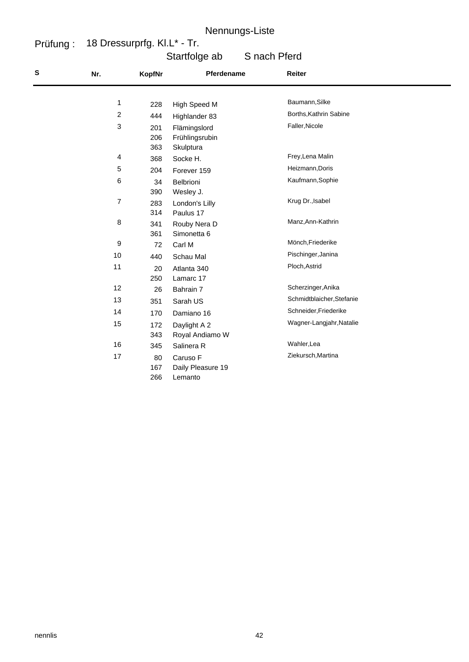#### Prüfung : 18 Dressurprfg. Kl.L\* - Tr.

# Startfolge ab S nach Pferd

| $\mathbf s$ | Nr.              | <b>KopfNr</b> | Pferdename        | Reiter                    |  |
|-------------|------------------|---------------|-------------------|---------------------------|--|
|             |                  |               |                   |                           |  |
|             | 1                | 228           | High Speed M      | Baumann, Silke            |  |
|             | $\overline{c}$   | 444           | Highlander 83     | Borths, Kathrin Sabine    |  |
|             | 3                | 201           | Flämingslord      | Faller, Nicole            |  |
|             |                  | 206           | Frühlingsrubin    |                           |  |
|             |                  | 363           | Skulptura         |                           |  |
|             | 4                | 368           | Socke H.          | Frey, Lena Malin          |  |
|             | $\,$ 5 $\,$      | 204           | Forever 159       | Heizmann, Doris           |  |
|             | 6                | 34            | Belbrioni         | Kaufmann, Sophie          |  |
|             |                  | 390           | Wesley J.         |                           |  |
|             | $\overline{7}$   | 283           | London's Lilly    | Krug Dr., Isabel          |  |
|             |                  | 314           | Paulus 17         |                           |  |
|             | 8                | 341           | Rouby Nera D      | Manz, Ann-Kathrin         |  |
|             |                  | 361           | Simonetta 6       |                           |  |
|             | $\boldsymbol{9}$ | 72            | Carl M            | Mönch, Friederike         |  |
|             | 10               | 440           | Schau Mal         | Pischinger, Janina        |  |
|             | 11               | 20            | Atlanta 340       | Ploch, Astrid             |  |
|             |                  | 250           | Lamarc 17         |                           |  |
|             | 12               | 26            | Bahrain 7         | Scherzinger, Anika        |  |
|             | 13               | 351           | Sarah US          | Schmidtblaicher, Stefanie |  |
|             | 14               | 170           | Damiano 16        | Schneider, Friederike     |  |
|             | 15               | 172           | Daylight A 2      | Wagner-Langjahr, Natalie  |  |
|             |                  | 343           | Royal Andiamo W   |                           |  |
|             | 16               | 345           | Salinera R        | Wahler, Lea               |  |
|             | 17               | 80            | Caruso F          | Ziekursch, Martina        |  |
|             |                  | 167           | Daily Pleasure 19 |                           |  |
|             |                  | 266           | Lemanto           |                           |  |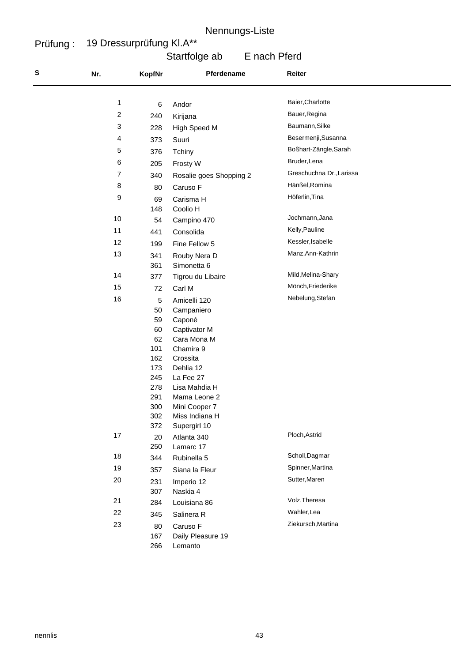#### Prüfung : 19 Dressurprüfung Kl.A\*\*

# Startfolge ab E nach Pferd

| S | Nr.                     | <b>KopfNr</b> | Pferdename              | Reiter                   |
|---|-------------------------|---------------|-------------------------|--------------------------|
|   |                         |               |                         | Baier, Charlotte         |
|   | 1                       | 6             | Andor                   |                          |
|   | $\overline{\mathbf{c}}$ | 240           | Kirijana                | Bauer, Regina            |
|   | 3                       | 228           | High Speed M            | Baumann, Silke           |
|   | 4                       | 373           | Suuri                   | Besermenji, Susanna      |
|   | 5                       | 376           | Tchiny                  | Boßhart-Zängle, Sarah    |
|   | 6                       | 205           | Frosty W                | Bruder, Lena             |
|   | 7                       | 340           | Rosalie goes Shopping 2 | Greschuchna Dr., Larissa |
|   | 8                       | 80            | Caruso F                | Hänßel, Romina           |
|   | 9                       | 69            | Carisma H               | Höferlin, Tina           |
|   |                         | 148           | Coolio H                |                          |
|   | $10$                    | 54            | Campino 470             | Jochmann, Jana           |
|   | 11                      | 441           | Consolida               | Kelly, Pauline           |
|   | 12                      | 199           | Fine Fellow 5           | Kessler, Isabelle        |
|   | 13                      | 341           | Rouby Nera D            | Manz, Ann-Kathrin        |
|   |                         | 361           | Simonetta 6             |                          |
|   | 14                      | 377           | Tigrou du Libaire       | Mild, Melina-Shary       |
|   | 15                      | 72            | Carl M                  | Mönch, Friederike        |
|   | 16                      | 5             | Amicelli 120            | Nebelung, Stefan         |
|   |                         | 50            | Campaniero              |                          |
|   |                         | 59            | Caponé                  |                          |
|   |                         | 60            | Captivator M            |                          |
|   |                         | 62            | Cara Mona M             |                          |
|   |                         | 101           | Chamira 9               |                          |
|   |                         | 162           | Crossita<br>Dehlia 12   |                          |
|   |                         | 173<br>245    | La Fee 27               |                          |
|   |                         | 278           | Lisa Mahdia H           |                          |
|   |                         | 291           | Mama Leone 2            |                          |
|   |                         | 300           | Mini Cooper 7           |                          |
|   |                         | 302           | Miss Indiana H          |                          |
|   |                         | 372           | Supergirl 10            |                          |
|   | 17                      | 20            | Atlanta 340             | Ploch, Astrid            |
|   | 18                      | 250           | Lamarc 17               | Scholl, Dagmar           |
|   |                         | 344           | Rubinella 5             |                          |
|   | 19                      | 357           | Siana la Fleur          | Spinner, Martina         |
|   | 20                      | 231           | Imperio 12              | Sutter, Maren            |
|   |                         | 307           | Naskia 4                | Volz, Theresa            |
|   | 21                      | 284           | Louisiana 86            |                          |
|   | 22                      | 345           | Salinera R              | Wahler, Lea              |
|   | 23                      | 80            | Caruso F                | Ziekursch, Martina       |
|   |                         | 167           | Daily Pleasure 19       |                          |
|   |                         | 266           | Lemanto                 |                          |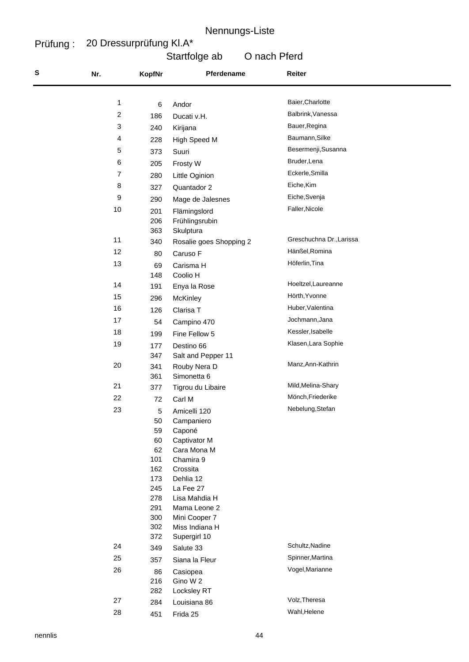#### Prüfung : 20 Dressurprüfung Kl.A\*

## Startfolge ab O nach Pferd

| S | Nr.            | KopfNr     | Pferdename                       | Reiter                   |
|---|----------------|------------|----------------------------------|--------------------------|
|   |                |            |                                  | Baier, Charlotte         |
|   | 1              | 6          | Andor                            |                          |
|   | $\overline{c}$ | 186        | Ducati v.H.                      | Balbrink, Vanessa        |
|   | 3              | 240        | Kirijana                         | Bauer, Regina            |
|   | 4              | 228        | High Speed M                     | Baumann, Silke           |
|   | $\,$ 5 $\,$    | 373        | Suuri                            | Besermenji, Susanna      |
|   | 6              | 205        | Frosty W                         | Bruder, Lena             |
|   | $\overline{7}$ | 280        | Little Oginion                   | Eckerle, Smilla          |
|   | 8              | 327        | Quantador 2                      | Eiche, Kim               |
|   | 9              | 290        | Mage de Jalesnes                 | Eiche, Svenja            |
|   | 10             | 201        | Flämingslord                     | Faller, Nicole           |
|   |                | 206        | Frühlingsrubin                   |                          |
|   |                | 363        | Skulptura                        |                          |
|   | 11             | 340        | Rosalie goes Shopping 2          | Greschuchna Dr., Larissa |
|   | 12             | 80         | Caruso F                         | Hänßel, Romina           |
|   | 13             | 69         | Carisma H                        | Höferlin, Tina           |
|   |                | 148        | Coolio H                         |                          |
|   | 14             | 191        | Enya la Rose                     | Hoeltzel, Laureanne      |
|   | 15             | 296        | <b>McKinley</b>                  | Hörth, Yvonne            |
|   | 16             | 126        | Clarisa T                        | Huber, Valentina         |
|   | 17             | 54         | Campino 470                      | Jochmann, Jana           |
|   | 18             | 199        | Fine Fellow 5                    | Kessler, Isabelle        |
|   | 19             |            |                                  | Klasen, Lara Sophie      |
|   |                | 177<br>347 | Destino 66<br>Salt and Pepper 11 |                          |
|   | 20             | 341        | Rouby Nera D                     | Manz, Ann-Kathrin        |
|   |                | 361        | Simonetta 6                      |                          |
|   | 21             | 377        | Tigrou du Libaire                | Mild, Melina-Shary       |
|   | 22             | 72         | Carl M                           | Mönch, Friederike        |
|   | 23             | 5          | Amicelli 120                     | Nebelung, Stefan         |
|   |                | 50         | Campaniero                       |                          |
|   |                | 59         | Caponé                           |                          |
|   |                | 60         | Captivator M                     |                          |
|   |                | 62         | Cara Mona M                      |                          |
|   |                | 101        | Chamira 9                        |                          |
|   |                | 162<br>173 | Crossita<br>Dehlia 12            |                          |
|   |                | 245        | La Fee 27                        |                          |
|   |                | 278        | Lisa Mahdia H                    |                          |
|   |                | 291        | Mama Leone 2                     |                          |
|   |                | 300        | Mini Cooper 7                    |                          |
|   |                | 302        | Miss Indiana H                   |                          |
|   |                | 372        | Supergirl 10                     | Schultz, Nadine          |
|   | 24             | 349        | Salute 33                        |                          |
|   | 25             | 357        | Siana la Fleur                   | Spinner, Martina         |
|   | 26             | 86         | Casiopea                         | Vogel, Marianne          |
|   |                | 216        | Gino W 2                         |                          |
|   | 27             | 282        | Locksley RT                      | Volz, Theresa            |
|   |                | 284        | Louisiana 86                     | Wahl, Helene             |
|   | 28             | 451        | Frida 25                         |                          |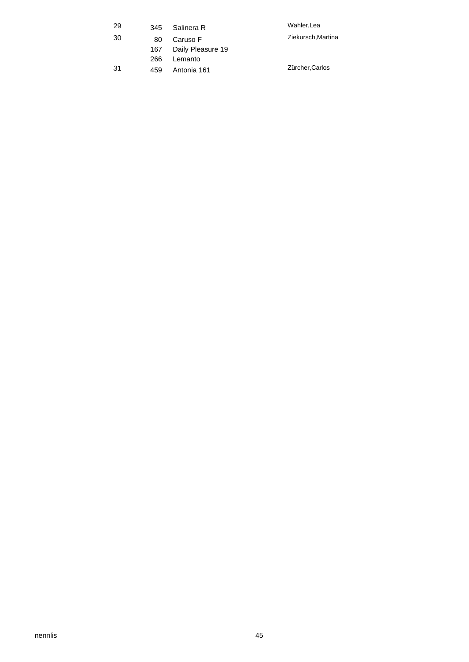| 29  | 345 | Salinera R        | Wahler, Lea        |
|-----|-----|-------------------|--------------------|
| 30  | 80  | Caruso F          | Ziekursch, Martina |
|     | 167 | Daily Pleasure 19 |                    |
|     | 266 | Lemanto           |                    |
| -31 | 459 | Antonia 161       | Zürcher, Carlos    |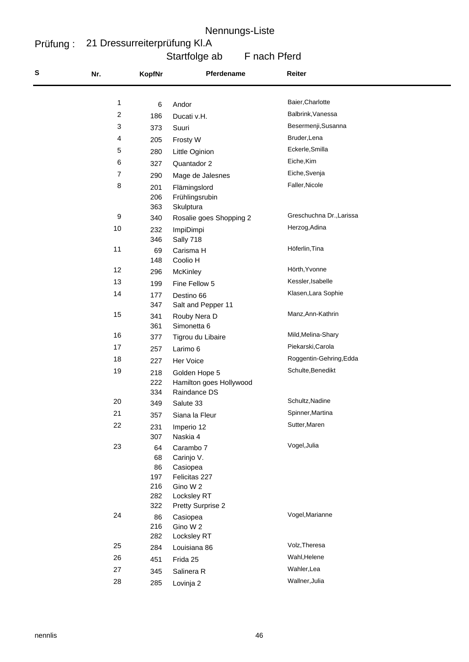#### Prüfung : 21 Dressurreiterprüfung Kl.A

# Startfolge ab F nach Pferd

| S | Nr.                     | <b>KopfNr</b>                              | Pferdename                                                                                           | Reiter                   |
|---|-------------------------|--------------------------------------------|------------------------------------------------------------------------------------------------------|--------------------------|
|   |                         |                                            |                                                                                                      |                          |
|   | 1                       | 6                                          | Andor                                                                                                | Baier, Charlotte         |
|   | $\overline{\mathbf{c}}$ | 186                                        | Ducati v.H.                                                                                          | Balbrink, Vanessa        |
|   | 3                       | 373                                        | Suuri                                                                                                | Besermenji, Susanna      |
|   | 4                       | 205                                        | Frosty W                                                                                             | Bruder, Lena             |
|   | 5                       | 280                                        | Little Oginion                                                                                       | Eckerle, Smilla          |
|   | 6                       | 327                                        | Quantador 2                                                                                          | Eiche, Kim               |
|   | $\overline{7}$          | 290                                        | Mage de Jalesnes                                                                                     | Eiche, Svenja            |
|   | 8                       | 201<br>206<br>363                          | Flämingslord<br>Frühlingsrubin<br>Skulptura                                                          | Faller, Nicole           |
|   | $\boldsymbol{9}$        | 340                                        | Rosalie goes Shopping 2                                                                              | Greschuchna Dr., Larissa |
|   | 10                      | 232<br>346                                 | ImpiDimpi<br>Sally 718                                                                               | Herzog, Adina            |
|   | 11                      | 69<br>148                                  | Carisma H<br>Coolio H                                                                                | Höferlin, Tina           |
|   | 12                      | 296                                        | McKinley                                                                                             | Hörth, Yvonne            |
|   | 13                      | 199                                        | Fine Fellow 5                                                                                        | Kessler, Isabelle        |
|   | 14                      | 177<br>347                                 | Destino 66<br>Salt and Pepper 11                                                                     | Klasen, Lara Sophie      |
|   | 15                      | 341<br>361                                 | Rouby Nera D<br>Simonetta 6                                                                          | Manz, Ann-Kathrin        |
|   | 16                      | 377                                        | Tigrou du Libaire                                                                                    | Mild, Melina-Shary       |
|   | 17                      | 257                                        | Larimo 6                                                                                             | Piekarski, Carola        |
|   | 18                      | 227                                        | Her Voice                                                                                            | Roggentin-Gehring, Edda  |
|   | 19                      | 218<br>222<br>334                          | Golden Hope 5<br>Hamilton goes Hollywood<br>Raindance DS                                             | Schulte, Benedikt        |
|   | 20                      | 349                                        | Salute 33                                                                                            | Schultz, Nadine          |
|   | 21                      | 357                                        | Siana la Fleur                                                                                       | Spinner, Martina         |
|   | 22                      | 231<br>307                                 | Imperio 12<br>Naskia 4                                                                               | Sutter, Maren            |
|   | 23                      | 64<br>68<br>86<br>197<br>216<br>282<br>322 | Carambo 7<br>Carinjo V.<br>Casiopea<br>Felicitas 227<br>Gino W 2<br>Locksley RT<br>Pretty Surprise 2 | Vogel, Julia             |
|   | 24                      | 86<br>216<br>282                           | Casiopea<br>Gino W 2<br>Locksley RT                                                                  | Vogel, Marianne          |
|   | 25                      | 284                                        | Louisiana 86                                                                                         | Volz, Theresa            |
|   | 26                      | 451                                        | Frida 25                                                                                             | Wahl, Helene             |
|   | 27                      | 345                                        | Salinera R                                                                                           | Wahler, Lea              |
|   | 28                      | 285                                        | Lovinja 2                                                                                            | Wallner, Julia           |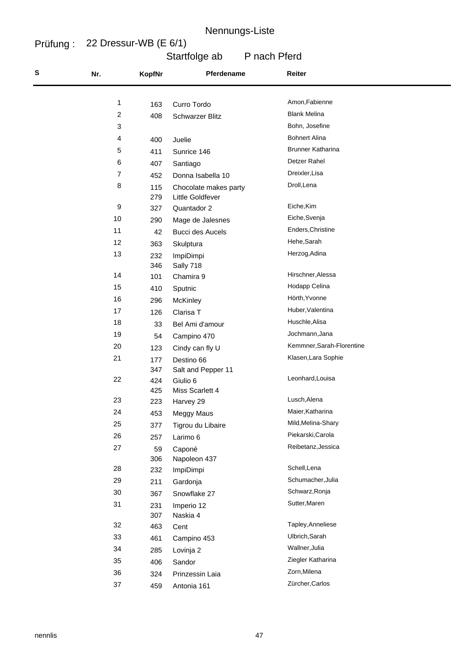#### Prüfung : 22 Dressur-WB (E 6/1)

Startfolge ab P nach Pferd

| S | Nr. | <b>KopfNr</b> | Pferdename                                | Reiter                          |
|---|-----|---------------|-------------------------------------------|---------------------------------|
|   |     |               |                                           |                                 |
|   | 1   | 163           | Curro Tordo                               | Amon, Fabienne                  |
|   | 2   | 408           | <b>Schwarzer Blitz</b>                    | <b>Blank Melina</b>             |
|   | 3   |               |                                           | Bohn, Josefine                  |
|   | 4   | 400           | Juelie                                    | <b>Bohnert Alina</b>            |
|   | 5   | 411           | Sunrice 146                               | <b>Brunner Katharina</b>        |
|   | 6   | 407           | Santiago                                  | Detzer Rahel                    |
|   | 7   | 452           | Donna Isabella 10                         | Dreixler, Lisa                  |
|   | 8   | 115<br>279    | Chocolate makes party<br>Little Goldfever | Droll, Lena                     |
|   | 9   | 327           | Quantador 2                               | Eiche, Kim                      |
|   | 10  | 290           | Mage de Jalesnes                          | Eiche, Svenja                   |
|   | 11  | 42            | <b>Bucci des Aucels</b>                   | Enders, Christine               |
|   | 12  | 363           | Skulptura                                 | Hehe, Sarah                     |
|   | 13  | 232<br>346    | ImpiDimpi<br>Sally 718                    | Herzog, Adina                   |
|   | 14  | 101           | Chamira 9                                 | Hirschner, Alessa               |
|   | 15  | 410           | Sputnic                                   | Hodapp Celina                   |
|   | 16  | 296           | McKinley                                  | Hörth, Yvonne                   |
|   | 17  | 126           | Clarisa T                                 | Huber, Valentina                |
|   | 18  | 33            | Bel Ami d'amour                           | Huschle, Alisa                  |
|   | 19  | 54            | Campino 470                               | Jochmann, Jana                  |
|   | 20  | 123           | Cindy can fly U                           | Kemmner, Sarah-Florentine       |
|   | 21  | 177           | Destino 66                                | Klasen, Lara Sophie             |
|   |     | 347           | Salt and Pepper 11                        |                                 |
|   | 22  | 424           | Giulio 6                                  | Leonhard, Louisa                |
|   |     | 425           | Miss Scarlett 4                           |                                 |
|   | 23  | 223           | Harvey 29                                 | Lusch, Alena                    |
|   | 24  | 453           | Meggy Maus                                | Maier, Katharina                |
|   | 25  | 377           | Tigrou du Libaire                         | Mild, Melina-Shary              |
|   | 26  | 257           | Larimo 6                                  | Piekarski, Carola               |
|   | 27  | 59            | Caponé                                    | Reibetanz, Jessica              |
|   |     | 306           | Napoleon 437                              | Schell, Lena                    |
|   | 28  | 232           | ImpiDimpi                                 | Schumacher, Julia               |
|   | 29  | 211           | Gardonja                                  |                                 |
|   | 30  | 367           | Snowflake 27                              | Schwarz, Ronja<br>Sutter, Maren |
|   | 31  | 231           | Imperio 12                                |                                 |
|   | 32  | 307<br>463    | Naskia 4                                  | Tapley, Anneliese               |
|   | 33  | 461           | Cent                                      | Ulbrich, Sarah                  |
|   | 34  | 285           | Campino 453                               | Wallner, Julia                  |
|   | 35  |               | Lovinja 2                                 | Ziegler Katharina               |
|   | 36  | 406           | Sandor                                    | Zorn, Milena                    |
|   | 37  | 324           | Prinzessin Laia                           | Zürcher, Carlos                 |
|   |     | 459           | Antonia 161                               |                                 |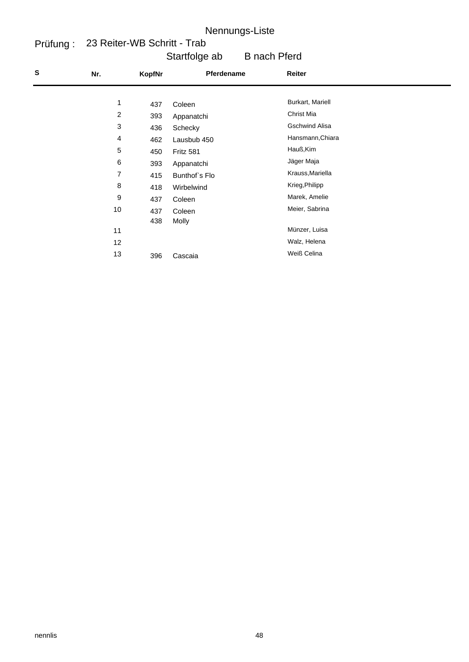#### Prüfung : 23 Reiter-WB Schritt - Trab

| Startfolge ab | <b>B</b> nach Pferd |
|---------------|---------------------|
|---------------|---------------------|

| ${\bf S}$ | Nr.            | KopfNr | Pferdename    | Reiter                |  |
|-----------|----------------|--------|---------------|-----------------------|--|
|           | 1              |        |               | Burkart, Mariell      |  |
|           |                | 437    | Coleen        |                       |  |
|           | $\overline{c}$ | 393    | Appanatchi    | Christ Mia            |  |
|           | $\sqrt{3}$     | 436    | Schecky       | <b>Gschwind Alisa</b> |  |
|           | 4              | 462    | Lausbub 450   | Hansmann, Chiara      |  |
|           | 5              | 450    | Fritz 581     | Hauß, Kim             |  |
|           | 6              | 393    | Appanatchi    | Jäger Maja            |  |
|           | 7              | 415    | Bunthof's Flo | Krauss, Mariella      |  |
|           | 8              | 418    | Wirbelwind    | Krieg, Philipp        |  |
|           | 9              | 437    | Coleen        | Marek, Amelie         |  |
|           | 10             | 437    | Coleen        | Meier, Sabrina        |  |
|           |                | 438    | Molly         |                       |  |
|           | 11             |        |               | Münzer, Luisa         |  |
|           | 12             |        |               | Walz, Helena          |  |
|           | 13             | 396    | Cascaia       | Weiß Celina           |  |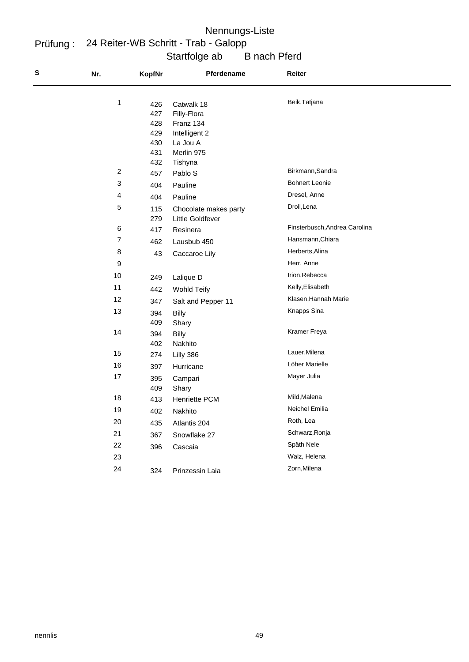## Startfolge ab B nach Pferd Prüfung : 24 Reiter-WB Schritt - Trab - Galopp Nennungs-Liste

| S | Nr.            | <b>KopfNr</b> | Pferdename                                | Reiter                        |
|---|----------------|---------------|-------------------------------------------|-------------------------------|
|   | $\mathbf{1}$   | 426           | Catwalk 18                                | Beik, Tatjana                 |
|   |                | 427           | Filly-Flora                               |                               |
|   |                | 428           | Franz 134                                 |                               |
|   |                | 429           | Intelligent 2                             |                               |
|   |                | 430           | La Jou A                                  |                               |
|   |                | 431<br>432    | Merlin 975                                |                               |
|   | $\overline{c}$ | 457           | Tishyna<br>Pablo S                        | Birkmann, Sandra              |
|   | $\sqrt{3}$     | 404           | Pauline                                   | <b>Bohnert Leonie</b>         |
|   | 4              | 404           | Pauline                                   | Dresel, Anne                  |
|   | 5              | 115           |                                           | Droll, Lena                   |
|   |                | 279           | Chocolate makes party<br>Little Goldfever |                               |
|   | 6              | 417           | Resinera                                  | Finsterbusch, Andrea Carolina |
|   | $\overline{7}$ | 462           | Lausbub 450                               | Hansmann, Chiara              |
|   | 8              | 43            | Caccaroe Lily                             | Herberts, Alina               |
|   | 9              |               |                                           | Herr, Anne                    |
|   | 10             | 249           | Lalique D                                 | Irion, Rebecca                |
|   | 11             | 442           | <b>Wohld Teify</b>                        | Kelly, Elisabeth              |
|   | 12             | 347           | Salt and Pepper 11                        | Klasen, Hannah Marie          |
|   | 13             | 394           | <b>Billy</b>                              | Knapps Sina                   |
|   |                | 409           | Shary                                     |                               |
|   | 14             | 394           | <b>Billy</b>                              | Kramer Freya                  |
|   |                | 402           | Nakhito                                   |                               |
|   | 15             | 274           | Lilly 386                                 | Lauer, Milena                 |
|   | 16             | 397           | Hurricane                                 | Löher Marielle                |
|   | 17             | 395           | Campari                                   | Mayer Julia                   |
|   |                | 409           | Shary                                     | Mild, Malena                  |
|   | 18             | 413           | <b>Henriette PCM</b>                      |                               |
|   | 19             | 402           | Nakhito                                   | Neichel Emilia                |
|   | 20             | 435           | Atlantis 204                              | Roth, Lea                     |
|   | 21             | 367           | Snowflake 27                              | Schwarz, Ronja                |
|   | 22             | 396           | Cascaia                                   | Späth Nele                    |
|   | 23             |               |                                           | Walz, Helena                  |
|   | 24             | 324           | Prinzessin Laia                           | Zorn, Milena                  |